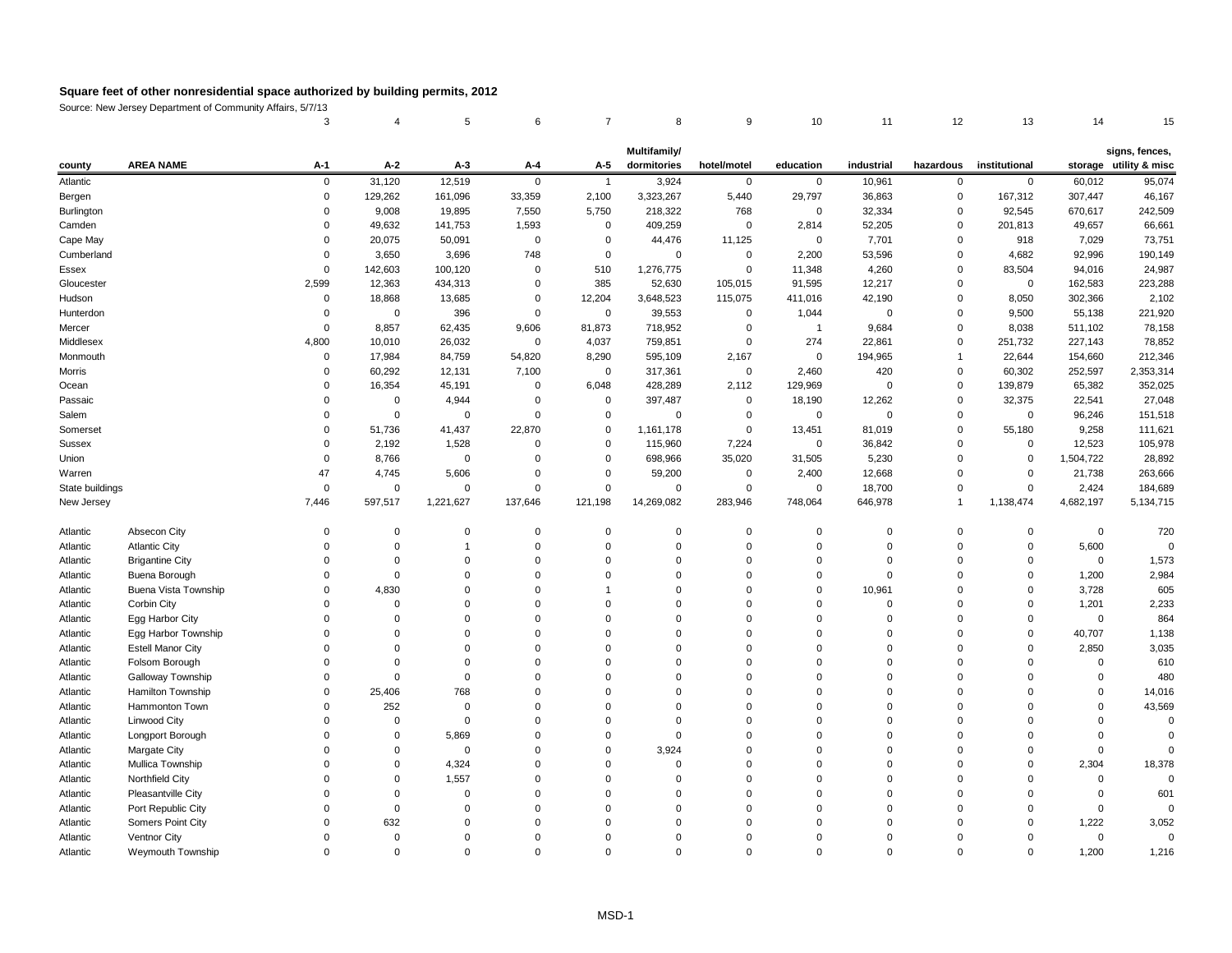Source: New Jersey Department of Community Affairs, 5/7/13

|  |  |  |  |  | 3     4     5     6     7     8     9     10     11     12     13     14     15 |  |
|--|--|--|--|--|---------------------------------------------------------------------------------|--|

|                 |                          |             |                |             |                |                | Multifamily/   |                |             |                |                |                |             | signs, fences,         |
|-----------------|--------------------------|-------------|----------------|-------------|----------------|----------------|----------------|----------------|-------------|----------------|----------------|----------------|-------------|------------------------|
| county          | <b>AREA NAME</b>         | $A-1$       | $A-2$          | $A-3$       | $A-4$          | $A-5$          | dormitories    | hotel/motel    | education   | industrial     | hazardous      | institutional  |             | storage utility & misc |
| Atlantic        |                          | $\mathbf 0$ | 31,120         | 12,519      | 0              |                | 3,924          | $\mathbf 0$    | 0           | 10,961         | $\mathbf 0$    | $\mathbf 0$    | 60,012      | 95,074                 |
| Bergen          |                          | $\Omega$    | 129,262        | 161,096     | 33,359         | 2,100          | 3,323,267      | 5,440          | 29,797      | 36,863         | $\mathbf 0$    | 167,312        | 307,447     | 46,167                 |
| Burlington      |                          |             | 9,008          | 19,895      | 7,550          | 5,750          | 218,322        | 768            | 0           | 32,334         | $\overline{0}$ | 92,545         | 670,617     | 242,509                |
| Camden          |                          |             | 49,632         | 141,753     | 1,593          | $\overline{0}$ | 409,259        | $\overline{0}$ | 2,814       | 52,205         | 0              | 201,813        | 49,657      | 66,661                 |
| Cape May        |                          |             | 20,075         | 50,091      | $\overline{0}$ | $\mathbf 0$    | 44,476         | 11,125         | 0           | 7,701          | 0              | 918            | 7,029       | 73,751                 |
| Cumberland      |                          |             | 3,650          | 3,696       | 748            | $\mathbf 0$    | 0              | $\overline{0}$ | 2,200       | 53,596         | 0              | 4,682          | 92,996      | 190,149                |
| Essex           |                          |             | 142,603        | 100,120     | 0              | 510            | 1,276,775      | $\overline{0}$ | 11,348      | 4,260          | 0              | 83,504         | 94,016      | 24,987                 |
| Gloucester      |                          | 2,599       | 12,363         | 434,313     | 0              | 385            | 52,630         | 105,015        | 91,595      | 12,217         | 0              | $\overline{0}$ | 162,583     | 223,288                |
| Hudson          |                          | $\Omega$    | 18,868         | 13,685      | 0              | 12,204         | 3,648,523      | 115,075        | 411,016     | 42,190         | 0              | 8,050          | 302,366     | 2,102                  |
| Hunterdon       |                          |             | 0              | 396         | 0              | 0              | 39,553         | $\overline{0}$ | 1,044       | $\overline{0}$ | 0              | 9,500          | 55,138      | 221,920                |
| Mercer          |                          | $\Omega$    | 8,857          | 62,435      | 9,606          | 81,873         | 718,952        | 0              | -1          | 9,684          | $\mathbf 0$    | 8,038          | 511,102     | 78,158                 |
| Middlesex       |                          | 4,800       | 10,010         | 26,032      | $\overline{0}$ | 4,037          | 759,851        | 0              | 274         | 22,861         | 0              | 251,732        | 227,143     | 78,852                 |
| Monmouth        |                          | $\Omega$    | 17,984         | 84,759      | 54,820         | 8,290          | 595,109        | 2,167          | $\mathbf 0$ | 194,965        |                | 22,644         | 154,660     | 212,346                |
| Morris          |                          |             | 60,292         | 12,131      | 7,100          | $\overline{0}$ | 317,361        | $\overline{0}$ | 2,460       | 420            | 0              | 60,302         | 252,597     | 2,353,314              |
| Ocean           |                          |             | 16,354         | 45,191      | 0              | 6,048          | 428,289        | 2,112          | 129,969     | $\overline{0}$ | $\mathbf 0$    | 139,879        | 65,382      | 352,025                |
| Passaic         |                          |             | 0              | 4,944       | 0              | $\mathbf 0$    | 397,487        | $\overline{0}$ | 18,190      | 12,262         | 0              | 32,375         | 22,541      | 27,048                 |
| Salem           |                          | $\Omega$    | 0              | $\mathbf 0$ | $\mathbf 0$    | 0              | 0              | $\overline{0}$ | $\mathbf 0$ | 0              | $\mathbf 0$    | $\mathbf 0$    | 96,246      | 151,518                |
| Somerset        |                          |             | 51,736         | 41,437      | 22,870         | 0              | 1,161,178      | $\mathbf 0$    | 13,451      | 81,019         | 0              | 55,180         | 9,258       | 111,621                |
| <b>Sussex</b>   |                          | $\Omega$    | 2,192          | 1,528       | 0              | 0              | 115,960        | 7,224          | $\mathbf 0$ | 36,842         | $\mathbf 0$    | 0              | 12,523      | 105,978                |
| Union           |                          |             | 8,766          | $\mathbf 0$ | 0              | 0              | 698,966        | 35,020         | 31,505      | 5,230          | 0              | 0              | 1,504,722   | 28,892                 |
| Warren          |                          | 47          | 4,745          | 5,606       | 0              | $\mathbf 0$    | 59,200         | $\overline{0}$ | 2,400       | 12,668         | $\mathbf 0$    | $\mathbf{0}$   | 21,738      | 263,666                |
| State buildings |                          | $\Omega$    | $\mathbf 0$    | $\mathbf 0$ | $\mathbf 0$    | $\Omega$       | $\mathbf 0$    | $\mathbf 0$    | 0           | 18,700         | $\mathbf 0$    | $\mathbf 0$    | 2,424       | 184,689                |
| New Jersey      |                          | 7,446       | 597,517        | 1,221,627   | 137,646        | 121,198        | 14,269,082     | 283,946        | 748,064     | 646,978        | $\overline{1}$ | 1,138,474      | 4,682,197   | 5,134,715              |
| Atlantic        | Absecon City             | $\Omega$    | $\overline{0}$ | 0           | 0              | 0              | $\overline{0}$ | $\overline{0}$ | 0           | 0              | $\mathbf 0$    | 0              | $\mathbf 0$ | 720                    |
| Atlantic        | <b>Atlantic City</b>     |             | $\Omega$       |             | $\mathbf{0}$   | 0              | $\Omega$       | $\Omega$       | $\Omega$    | $\Omega$       | $\mathbf 0$    | $\mathbf{0}$   | 5,600       |                        |
| Atlantic        | <b>Brigantine City</b>   |             | $\Omega$       | $\mathbf 0$ | $\Omega$       | 0              | $\Omega$       | $\Omega$       | $\Omega$    | $\Omega$       | $\Omega$       | $\mathbf{0}$   | 0           | 1,573                  |
| Atlantic        | Buena Borough            | $\Omega$    | $\Omega$       | $\Omega$    | $\Omega$       | $\Omega$       | $\Omega$       | $\Omega$       | $\Omega$    | $\Omega$       | $\Omega$       | $\Omega$       | 1,200       | 2,984                  |
| Atlantic        | Buena Vista Township     |             | 4,830          |             |                |                |                |                |             | 10,961         |                |                | 3,728       | 605                    |
| Atlantic        | Corbin City              |             |                |             |                |                |                |                |             |                |                |                | 1,201       | 2,233                  |
| Atlantic        | Egg Harbor City          |             |                |             |                |                |                |                |             |                |                |                |             | 864                    |
| Atlantic        | Egg Harbor Township      |             |                |             |                |                |                |                |             |                |                |                | 40,707      | 1,138                  |
| Atlantic        | <b>Estell Manor City</b> |             |                |             |                |                |                |                |             |                |                |                | 2,850       | 3,035                  |
| Atlantic        | Folsom Borough           |             |                |             |                |                |                |                |             |                |                |                |             | 610                    |
| Atlantic        | Galloway Township        |             |                |             |                |                |                |                |             |                |                |                |             | 480                    |
| Atlantic        | Hamilton Township        |             | 25,406         | 768         |                |                |                |                |             |                |                |                |             | 14,016                 |
| Atlantic        | Hammonton Town           |             | 252            |             |                |                |                |                |             |                |                |                |             | 43,569                 |
| Atlantic        | Linwood City             |             |                |             |                |                |                |                |             |                |                |                |             |                        |
| Atlantic        | Longport Borough         |             |                | 5,869       |                |                |                |                |             |                |                |                |             |                        |
| Atlantic        | Margate City             |             | $\Omega$       | $\Omega$    |                |                | 3,924          |                |             |                |                |                |             |                        |
| Atlantic        | Mullica Township         |             |                | 4,324       |                |                |                |                |             |                |                |                | 2,304       | 18,378                 |
| Atlantic        | Northfield City          |             |                | 1,557       |                |                |                |                |             |                |                |                |             |                        |
| Atlantic        | Pleasantville City       |             |                |             |                |                |                |                |             |                |                |                |             | 601                    |
| Atlantic        | Port Republic City       |             |                |             |                |                |                |                |             |                |                |                |             |                        |
| Atlantic        | Somers Point City        |             | 632            |             |                |                |                |                |             |                |                |                | 1,222       | 3,052                  |
| Atlantic        | Ventnor City             |             |                |             |                |                |                |                |             |                |                |                |             |                        |
| Atlantic        | Weymouth Township        |             | $\Omega$       | $\Omega$    |                |                | $\Omega$       |                |             | $\Omega$       | $\Omega$       |                | 1,200       | 1,216                  |
|                 |                          |             |                |             |                |                |                |                |             |                |                |                |             |                        |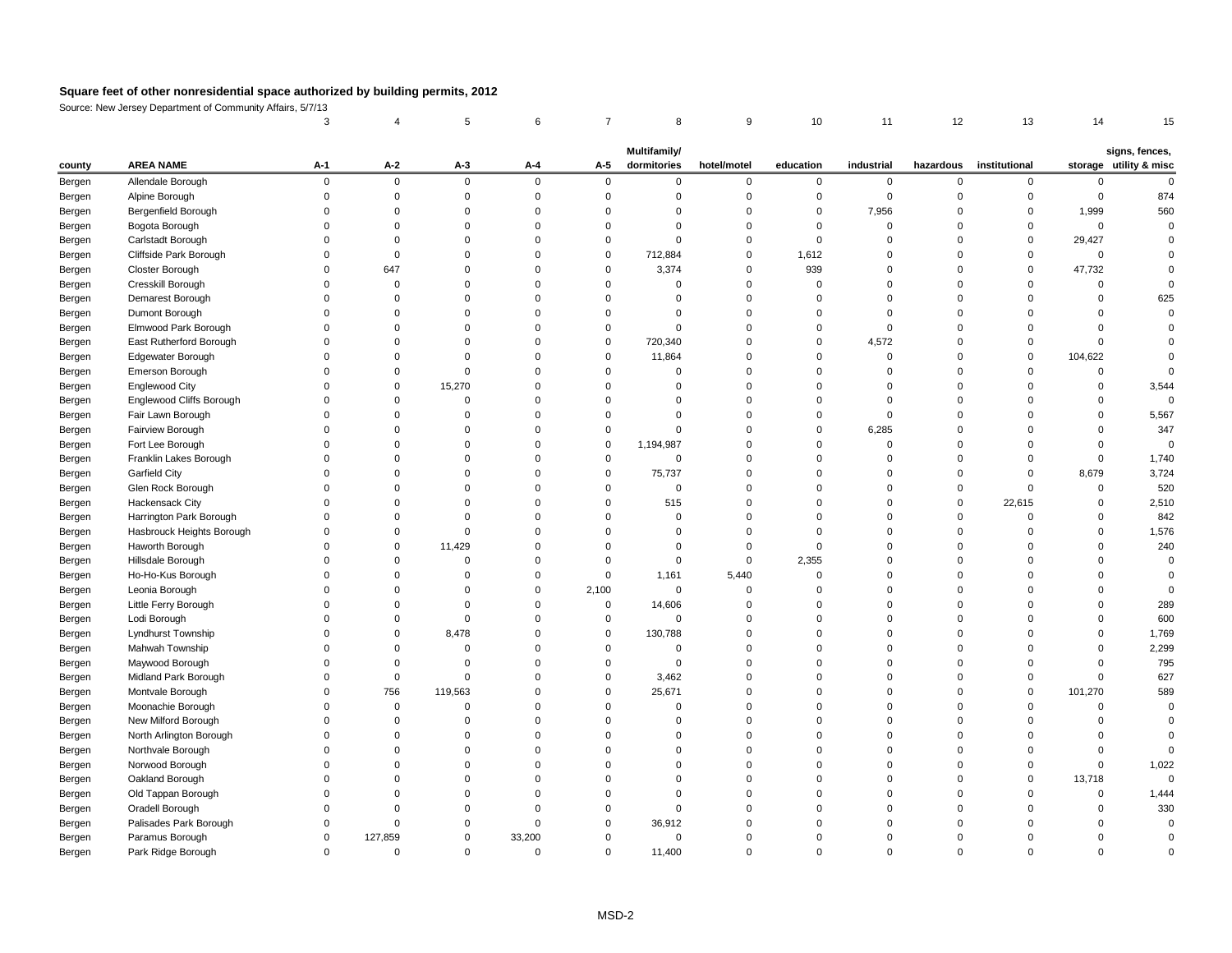Source: New Jersey Department of Community Affairs, 5/7/13

|        |                                 |       |                |              |          |              | Multifamily/ |             |           |            |           |               |          | signs, fences,         |
|--------|---------------------------------|-------|----------------|--------------|----------|--------------|--------------|-------------|-----------|------------|-----------|---------------|----------|------------------------|
| county | <b>AREA NAME</b>                | $A-1$ | $A-2$          | $A-3$        | $A-4$    | $A-5$        | dormitories  | hotel/motel | education | industrial | hazardous | institutional |          | storage utility & misc |
| Bergen | Allendale Borough               |       | $\overline{0}$ | $\mathbf{0}$ |          | $\Omega$     | 0            |             | ∩         | റ          |           | $\Omega$      |          |                        |
| Bergen | Alpine Borough                  |       |                |              |          |              |              |             |           |            |           |               |          | 874                    |
| Bergen | Bergenfield Borough             |       |                |              |          |              |              |             | 0         | 7,956      |           | $\Omega$      | 1,999    | 560                    |
| Bergen | Bogota Borough                  |       |                |              |          |              |              |             |           |            |           | $\Omega$      | $\Omega$ |                        |
| Bergen | Carlstadt Borough               |       |                |              |          |              |              |             |           |            |           | $\mathbf{0}$  | 29,427   |                        |
| Bergen | Cliffside Park Borough          |       |                |              |          | $\Omega$     | 712,884      |             | 1,612     |            |           | 0             | $\Omega$ |                        |
| Bergen | Closter Borough                 |       | 647            |              |          | $\Omega$     | 3,374        |             | 939       |            |           | $\mathbf{0}$  | 47,732   |                        |
| Bergen | Cresskill Borough               |       |                |              |          |              |              |             |           |            |           | $\Omega$      |          |                        |
| Bergen | Demarest Borough                |       |                |              |          |              |              |             |           |            |           |               |          | 625                    |
| Bergen | Dumont Borough                  |       |                |              |          |              |              |             |           |            |           |               |          |                        |
| Bergen | Elmwood Park Borough            |       |                |              |          |              |              |             |           |            |           |               |          |                        |
| Bergen | East Rutherford Borough         |       |                |              |          | $\Omega$     | 720,340      |             | 0         | 4,572      |           | $\Omega$      |          |                        |
| Bergen | Edgewater Borough               |       |                |              |          | $\Omega$     | 11,864       |             |           |            |           | $\Omega$      | 104,622  |                        |
| Bergen | Emerson Borough                 |       |                |              |          |              |              |             |           |            |           |               |          |                        |
| Bergen | <b>Englewood City</b>           |       |                | 15,270       |          |              |              |             |           |            |           |               |          | 3,544                  |
| Bergen | <b>Englewood Cliffs Borough</b> |       |                |              |          |              |              |             |           |            |           |               |          |                        |
| Bergen | Fair Lawn Borough               |       |                |              |          |              |              |             |           |            |           |               |          | 5,567                  |
| Bergen | Fairview Borough                |       |                |              |          |              |              |             |           | 6,285      |           |               |          | 347                    |
| Bergen | Fort Lee Borough                |       |                |              |          |              | 1,194,987    |             |           |            |           |               |          |                        |
| Bergen | Franklin Lakes Borough          |       |                |              |          | ∩            | $\Omega$     |             |           |            |           | $\Omega$      |          | 1,740                  |
| Bergen | <b>Garfield City</b>            |       |                |              |          |              | 75,737       |             |           |            |           |               | 8,679    | 3,724                  |
| Bergen | Glen Rock Borough               |       |                |              |          |              | 0            |             |           |            |           |               |          | 520                    |
| Bergen | Hackensack City                 |       |                |              |          |              | 515          |             |           |            |           | 22,615        |          | 2,510                  |
| Bergen | Harrington Park Borough         |       |                |              |          |              | 0            |             |           |            |           | $\Omega$      |          | 842                    |
| Bergen | Hasbrouck Heights Borough       |       |                |              |          |              |              |             |           |            |           |               |          | 1,576                  |
| Bergen | Haworth Borough                 |       |                | 11,429       |          |              |              |             |           |            |           |               |          | 240                    |
| Bergen | Hillsdale Borough               |       |                | ∩            |          |              |              |             | 2,355     |            |           |               |          |                        |
| Bergen | Ho-Ho-Kus Borough               |       |                |              |          |              | 1,161        | 5,440       |           |            |           |               |          |                        |
| Bergen | Leonia Borough                  |       |                |              |          | 2,100        | $\mathbf{0}$ |             |           |            |           |               |          |                        |
| Bergen | Little Ferry Borough            |       |                |              |          | $\Omega$     | 14,606       |             |           |            |           |               |          | 289                    |
| Bergen | Lodi Borough                    |       |                |              |          | $\Omega$     | $\Omega$     |             |           |            |           |               |          | 600                    |
| Bergen | Lyndhurst Township              |       | 0              | 8,478        |          | $\mathbf{0}$ | 130,788      |             |           |            |           |               |          | 1,769                  |
| Bergen | Mahwah Township                 |       |                |              |          |              |              |             |           |            |           |               |          | 2,299                  |
| Bergen | Maywood Borough                 |       |                |              |          |              | 0            |             |           |            |           |               |          | 795                    |
| Bergen | Midland Park Borough            |       |                |              |          | $\Omega$     | 3,462        |             |           |            |           | $\Omega$      |          | 627                    |
| Bergen | Montvale Borough                |       | 756            | 119,563      |          | 0            | 25,671       |             |           |            |           | $\mathbf 0$   | 101,270  | 589                    |
| Bergen | Moonachie Borough               |       |                |              |          |              |              |             |           |            |           |               |          |                        |
| Bergen | New Milford Borough             |       |                |              |          |              |              |             |           |            |           |               |          |                        |
| Bergen | North Arlington Borough         |       |                |              |          |              |              |             |           |            |           |               |          |                        |
| Bergen | Northvale Borough               |       |                |              |          |              |              |             |           |            |           |               |          |                        |
| Bergen | Norwood Borough                 |       |                |              |          |              |              |             |           |            |           |               |          | 1,022                  |
| Bergen | Oakland Borough                 |       |                |              |          |              |              |             |           |            |           | $\Omega$      | 13,718   |                        |
| Bergen | Old Tappan Borough              |       |                |              |          |              |              |             |           |            |           |               |          | 1,444                  |
| Bergen | Oradell Borough                 |       |                |              |          |              |              |             |           |            |           |               |          | 330                    |
| Bergen | Palisades Park Borough          |       |                |              |          | $\Omega$     | 36,912       |             |           |            |           |               |          |                        |
| Bergen | Paramus Borough                 |       | 127,859        |              | 33,200   |              | $\mathbf{0}$ |             |           |            |           |               |          |                        |
| Bergen | Park Ridge Borough              |       | $\overline{0}$ |              | $\Omega$ | $\mathbf{0}$ | 11,400       |             |           | $\Omega$   |           | $\Omega$      |          |                        |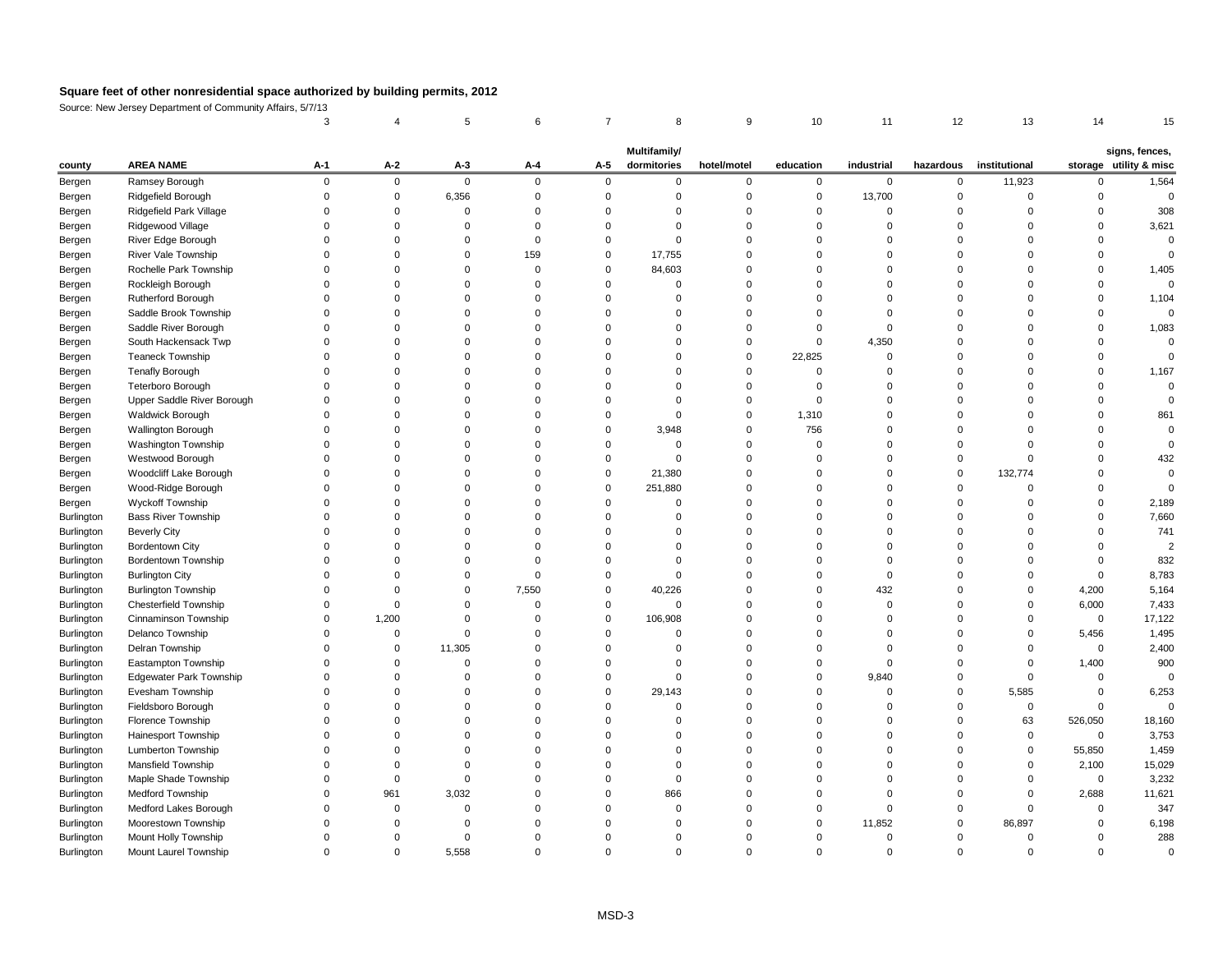Source: New Jersey Department of Community Affairs, 5/7/13

|                          |                                |       |       |             |          |       | <b>Multifamily/</b> |             |           |                |              |               |                | signs, fences,         |
|--------------------------|--------------------------------|-------|-------|-------------|----------|-------|---------------------|-------------|-----------|----------------|--------------|---------------|----------------|------------------------|
| county                   | <b>AREA NAME</b>               | $A-1$ | $A-2$ | $A-3$       | $A-4$    | $A-5$ | dormitories         | hotel/motel | education | industrial     | hazardous    | institutional |                | storage utility & misc |
| Bergen                   | Ramsey Borough                 | ∩     | 0     | $\mathbf 0$ | $\Omega$ |       | $\Omega$            | $\Omega$    | 0         | $\overline{0}$ | $\mathbf{0}$ | 11,923        |                | 1,564                  |
| Bergen                   | Ridgefield Borough             |       |       | 6,356       |          |       |                     |             |           | 13,700         |              |               |                |                        |
| Bergen                   | Ridgefield Park Village        |       |       |             |          |       |                     |             |           |                |              |               |                | 308                    |
| Bergen                   | Ridgewood Village              |       |       |             |          |       |                     |             |           |                |              |               |                | 3,621                  |
| Bergen                   | River Edge Borough             |       |       |             |          |       |                     |             |           |                |              |               |                |                        |
| Bergen                   | River Vale Township            |       |       |             | 159      |       | 17,755              |             |           |                |              |               |                |                        |
| Bergen                   | Rochelle Park Township         |       |       |             |          |       | 84,603              |             |           |                |              |               |                | 1,405                  |
| Bergen                   | Rockleigh Borough              |       |       |             |          |       |                     |             |           |                |              |               |                |                        |
| Bergen                   | Rutherford Borough             |       |       |             |          |       |                     |             |           |                |              |               |                | 1,104                  |
| Bergen                   | Saddle Brook Township          |       |       |             |          |       |                     |             |           |                |              |               |                |                        |
| Bergen                   | Saddle River Borough           |       |       |             |          |       |                     |             |           |                |              |               |                | 1,083                  |
| Bergen                   | South Hackensack Twp           |       |       |             |          |       |                     |             |           | 4,350          |              |               |                |                        |
| Bergen                   | Teaneck Township               |       |       |             |          |       |                     |             | 22,825    |                |              |               |                |                        |
| Bergen                   | <b>Tenafly Borough</b>         |       |       |             |          |       |                     |             |           |                |              |               |                | 1,167                  |
| Bergen                   | Teterboro Borough              |       |       |             |          |       |                     |             |           |                |              |               |                |                        |
| Bergen                   | Upper Saddle River Borough     |       |       |             |          |       |                     |             |           |                |              |               |                |                        |
| Bergen                   | Waldwick Borough               |       |       |             |          |       |                     |             | 1,310     |                |              |               |                | 861                    |
| Bergen                   | Wallington Borough             |       |       |             |          |       | 3,948               |             | 756       |                |              |               |                |                        |
| Bergen                   | Washington Township            |       |       |             |          |       |                     |             |           |                |              |               |                |                        |
| Bergen                   | Westwood Borough               |       |       |             |          |       | ∩                   |             |           |                |              |               |                | 432                    |
| Bergen                   | Woodcliff Lake Borough         |       |       |             |          |       | 21,380              |             |           |                |              | 132,774       |                |                        |
| Bergen                   | Wood-Ridge Borough             |       |       |             |          |       | 251,880             |             |           |                |              |               |                |                        |
| Bergen                   | <b>Wyckoff Township</b>        |       |       |             |          |       |                     |             |           |                |              |               |                | 2,189                  |
| Burlington               | <b>Bass River Township</b>     |       |       |             |          |       |                     |             |           |                |              |               |                | 7,660                  |
| Burlington               | <b>Beverly City</b>            |       |       |             |          |       |                     |             |           |                |              |               |                | 741                    |
| Burlington               | <b>Bordentown City</b>         |       |       |             |          |       |                     |             |           |                |              |               |                |                        |
| Burlington               | <b>Bordentown Township</b>     |       |       |             |          |       |                     |             |           |                |              |               |                | 832                    |
|                          | <b>Burlington City</b>         |       |       |             |          |       |                     |             |           |                |              |               |                | 8,783                  |
| Burlington<br>Burlington | <b>Burlington Township</b>     |       |       |             | 7,550    |       | 40,226              |             |           | 432            |              | 0             | 4,200          | 5,164                  |
|                          | <b>Chesterfield Township</b>   |       |       |             | $\Omega$ |       |                     |             |           | - 0            |              | $\Omega$      | 6,000          | 7,433                  |
| Burlington               | Cinnaminson Township           |       | 1,200 |             |          |       | 106,908             |             |           |                |              |               | $\mathbf 0$    | 17,122                 |
| Burlington               |                                |       |       |             |          |       | ∩                   |             |           |                |              | $\Omega$      |                |                        |
| Burlington               | Delanco Township               |       |       |             |          |       |                     |             |           |                |              |               | 5,456          | 1,495                  |
| Burlington               | Delran Township                |       | 0     | 11,305      |          |       |                     |             |           |                |              |               | $\mathbf 0$    | 2,400                  |
| Burlington               | Eastampton Township            |       |       | 0           |          |       |                     |             |           |                |              | $\Omega$      | 1,400          | 900                    |
| Burlington               | <b>Edgewater Park Township</b> |       |       |             |          |       | $\Omega$            |             |           | 9,840          |              | $\Omega$      |                |                        |
| Burlington               | Evesham Township               |       |       |             |          |       | 29,143              |             |           |                |              | 5,585         |                | 6,253                  |
| Burlington               | Fieldsboro Borough             |       |       |             |          |       |                     |             |           |                |              | $\mathbf 0$   |                |                        |
| Burlington               | Florence Township              |       |       |             |          |       |                     |             |           |                |              | 63            | 526,050        | 18,160                 |
| Burlington               | Hainesport Township            |       |       |             |          |       |                     |             |           |                |              | $\mathbf 0$   | $\mathbf 0$    | 3,753                  |
| Burlington               | <b>Lumberton Township</b>      |       |       |             |          |       |                     |             |           |                |              | 0             | 55,850         | 1,459                  |
| Burlington               | Mansfield Township             |       |       |             |          |       |                     |             |           |                |              | 0             | 2,100          | 15,029                 |
| Burlington               | Maple Shade Township           |       |       |             |          |       |                     |             |           |                |              | 0             | $\overline{0}$ | 3,232                  |
| Burlington               | <b>Medford Township</b>        |       | 961   | 3,032       |          |       | 866                 |             |           |                |              |               | 2,688          | 11,621                 |
| Burlington               | Medford Lakes Borough          |       |       |             |          |       |                     |             |           |                |              |               |                | 347                    |
| Burlington               | Moorestown Township            |       |       |             |          |       |                     |             |           | 11,852         |              | 86,897        |                | 6,198                  |
| Burlington               | Mount Holly Township           |       |       |             |          |       |                     |             |           |                |              |               |                | 288                    |
| Burlington               | Mount Laurel Township          | 0     | 0     | 5,558       | 0        |       | 0                   | 0           |           | 0              |              | 0             | 0              | $\pmb{0}$              |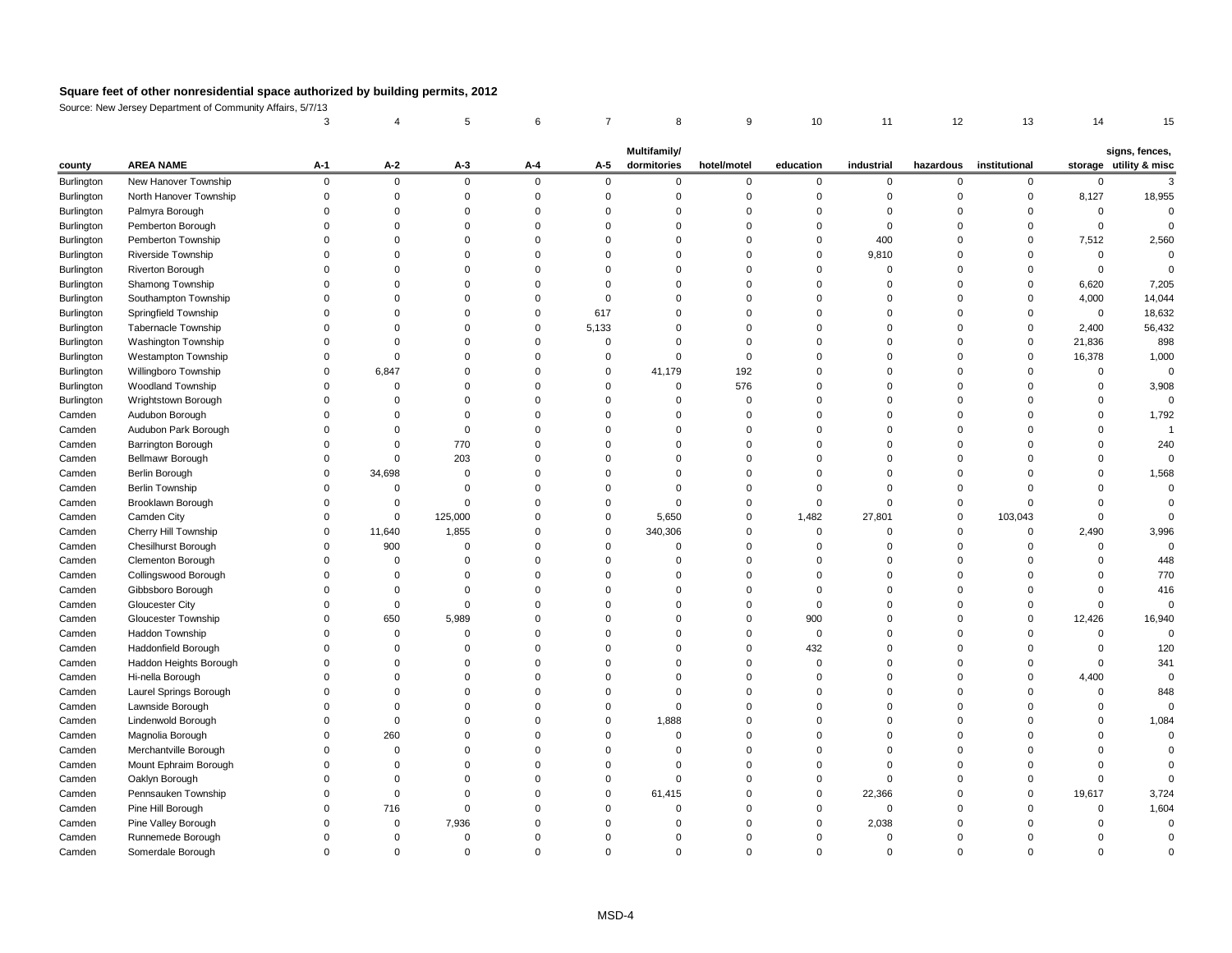Source: New Jersey Department of Community Affairs, 5/7/13

|            |                            |             |              |          |             |          | <b>Multifamily/</b> |             |           |             |           |               |             | signs, fences,         |
|------------|----------------------------|-------------|--------------|----------|-------------|----------|---------------------|-------------|-----------|-------------|-----------|---------------|-------------|------------------------|
| county     | <b>AREA NAME</b>           | $A-1$       | $A-2$        | $A-3$    | $A-4$       | $A-5$    | dormitories         | hotel/motel | education | industrial  | hazardous | institutional |             | storage utility & misc |
| Burlington | New Hanover Township       | $\mathbf 0$ | $\mathbf 0$  | $\Omega$ | $\mathbf 0$ | $\Omega$ | $\Omega$            | $\Omega$    | 0         | $\mathbf 0$ | $\Omega$  | $\Omega$      |             |                        |
| Burlington | North Hanover Township     |             |              |          |             |          |                     |             |           |             |           |               | 8,127       | 18,955                 |
| Burlington | Palmyra Borough            |             |              |          |             |          |                     |             |           |             |           |               | $\Omega$    |                        |
| Burlington | Pemberton Borough          |             |              |          |             |          |                     |             |           |             |           |               |             |                        |
| Burlington | Pemberton Township         |             |              |          |             |          |                     |             |           | 400         |           |               | 7,512       | 2,560                  |
| Burlington | Riverside Township         |             |              |          |             |          |                     |             |           | 9,810       |           |               |             |                        |
| Burlington | <b>Riverton Borough</b>    |             |              |          |             |          |                     |             |           |             |           |               |             |                        |
| Burlington | Shamong Township           |             |              |          |             |          |                     |             |           |             |           |               | 6,620       | 7,205                  |
| Burlington | Southampton Township       |             |              |          |             |          |                     |             |           |             |           |               | 4,000       | 14,044                 |
| Burlington | Springfield Township       |             |              |          |             | 617      |                     |             |           |             |           |               | $\mathbf 0$ | 18,632                 |
| Burlington | Tabernacle Township        |             |              |          |             | 5,133    |                     |             |           |             |           |               | 2,400       | 56,432                 |
| Burlington | Washington Township        |             |              |          |             |          |                     |             |           |             |           |               | 21,836      | 898                    |
| Burlington | Westampton Township        |             |              |          |             |          |                     |             |           |             |           |               | 16,378      | 1,000                  |
| Burlington | Willingboro Township       |             | 6,847        |          |             | 0        | 41,179              | 192         |           |             |           |               |             |                        |
| Burlington | Woodland Township          |             | 0            |          |             |          |                     | 576         |           |             |           |               |             | 3,908                  |
| Burlington | Wrightstown Borough        |             |              |          |             |          |                     |             |           |             |           |               |             |                        |
| Camden     | Audubon Borough            |             |              |          |             |          |                     |             |           |             |           |               |             | 1,792                  |
| Camden     | Audubon Park Borough       |             |              |          |             |          |                     |             |           |             |           |               |             |                        |
| Camden     | Barrington Borough         |             | 0            | 770      |             |          |                     |             |           |             |           |               |             | 240                    |
| Camden     | Bellmawr Borough           | $\Omega$    | $\Omega$     | 203      |             |          |                     |             |           |             |           |               |             |                        |
| Camden     | Berlin Borough             | $\Omega$    | 34,698       |          |             |          |                     |             |           |             |           |               |             | 1,568                  |
| Camden     | <b>Berlin Township</b>     |             |              |          |             |          |                     |             |           |             |           |               |             |                        |
| Camden     | Brooklawn Borough          |             | 0            |          |             |          |                     |             |           |             |           |               |             |                        |
| Camden     | Camden City                | $\Omega$    | $\Omega$     | 125,000  |             |          | 5,650               | 0           | 1,482     | 27,801      | $\Omega$  | 103,043       |             |                        |
| Camden     | Cherry Hill Township       | $\Omega$    | 11,640       | 1,855    |             |          | 340,306             |             |           |             |           |               | 2,490       | 3,996                  |
| Camden     | Chesilhurst Borough        |             | 900          |          |             |          |                     |             |           |             |           |               |             |                        |
| Camden     | Clementon Borough          | 0           | 0            |          |             |          | $\Omega$            |             |           |             |           |               |             | 448                    |
| Camden     | Collingswood Borough       |             |              |          |             |          |                     |             |           |             |           |               |             | 770                    |
| Camden     | Gibbsboro Borough          |             |              |          |             |          |                     |             |           |             |           |               |             | 416                    |
| Camden     | <b>Gloucester City</b>     |             | <sup>0</sup> |          |             |          |                     |             |           |             |           |               |             |                        |
| Camden     | <b>Gloucester Township</b> |             | 650          | 5,989    |             |          |                     |             | 900       |             |           |               | 12,426      | 16,940                 |
| Camden     | Haddon Township            |             |              |          |             |          |                     |             |           |             |           |               |             |                        |
| Camden     | Haddonfield Borough        |             |              |          |             |          |                     |             | 432       |             |           |               |             | 120                    |
| Camden     | Haddon Heights Borough     |             |              |          |             |          |                     |             |           |             |           |               |             | 341                    |
| Camden     | Hi-nella Borough           |             |              |          |             |          |                     |             |           |             |           |               | 4,400       |                        |
| Camden     | Laurel Springs Borough     |             |              |          |             |          |                     |             |           |             |           |               |             | 848                    |
| Camden     | Lawnside Borough           |             |              |          |             |          |                     |             |           |             |           |               |             |                        |
| Camden     | Lindenwold Borough         |             | ∩            |          |             |          | 1,888               |             |           |             |           |               |             | 1,084                  |
| Camden     | Magnolia Borough           |             | 260          |          |             |          |                     |             |           |             |           |               |             |                        |
| Camden     | Merchantville Borough      |             |              |          |             |          |                     |             |           |             |           |               |             |                        |
| Camden     | Mount Ephraim Borough      |             |              |          |             |          |                     |             |           |             |           |               |             |                        |
| Camden     | Oaklyn Borough             |             |              |          |             |          |                     |             |           |             |           |               |             |                        |
| Camden     | Pennsauken Township        |             | ∩            |          |             |          | 61,415              |             |           | 22,366      |           |               | 19,617      | 3,724                  |
| Camden     | Pine Hill Borough          |             | 716          |          |             |          |                     |             |           |             |           |               |             | 1,604                  |
| Camden     | Pine Valley Borough        |             | $\Omega$     | 7,936    |             |          |                     |             |           | 2,038       |           |               |             |                        |
| Camden     | Runnemede Borough          |             | 0            |          |             |          |                     |             |           |             |           |               |             |                        |
| Camden     | Somerdale Borough          | $\mathbf 0$ | 0            |          | 0           |          |                     | 0           |           | 0           |           |               |             |                        |
|            |                            |             |              |          |             |          |                     |             |           |             |           |               |             |                        |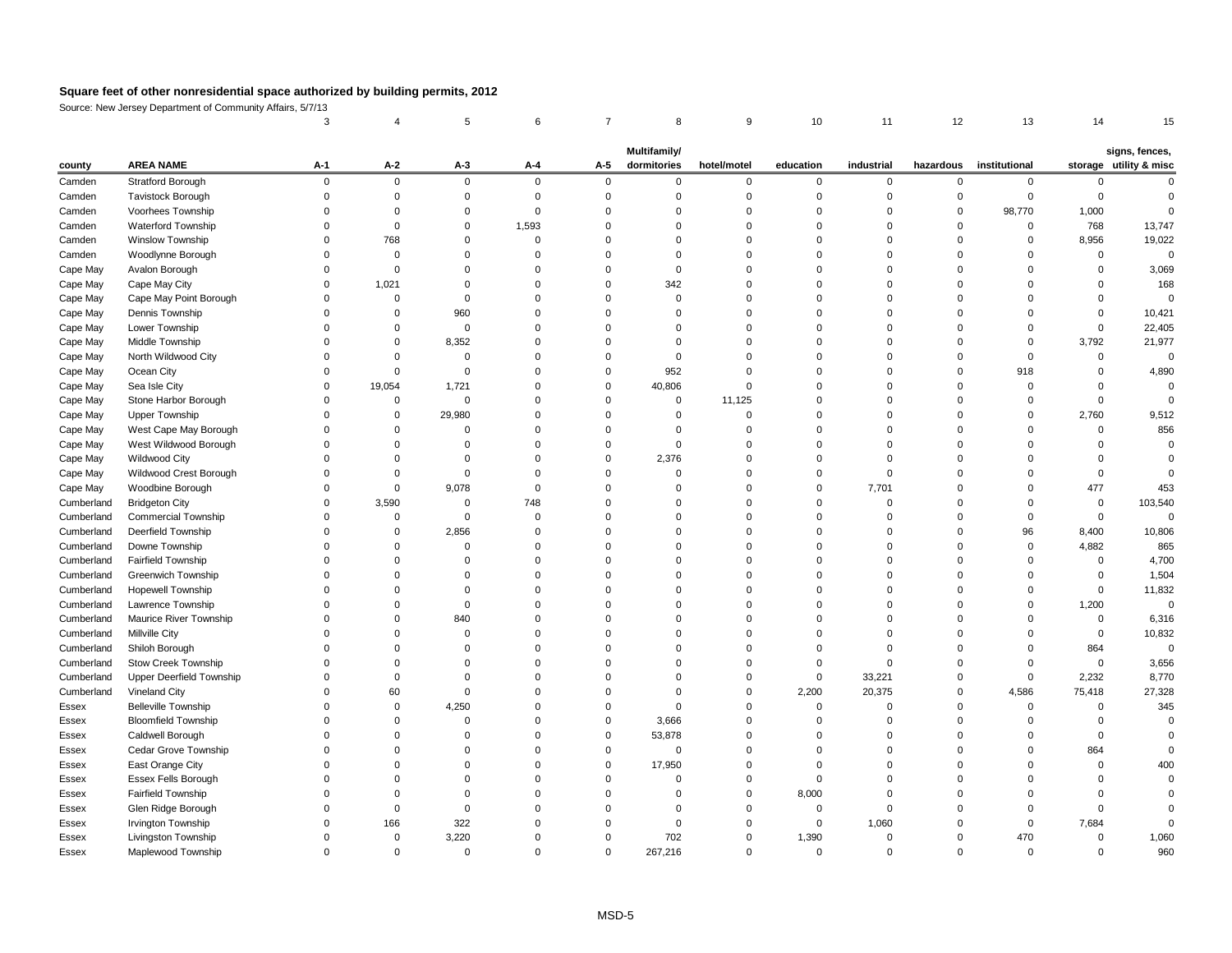Source: New Jersey Department of Community Affairs, 5/7/13

|            |                                 |       |          |          |                |             | <b>Multifamily/</b> |             |           |                |           |               |          | signs, fences,         |
|------------|---------------------------------|-------|----------|----------|----------------|-------------|---------------------|-------------|-----------|----------------|-----------|---------------|----------|------------------------|
| county     | <b>AREA NAME</b>                | $A-1$ | $A-2$    | $A-3$    | $A-4$          | $A-5$       | dormitories         | hotel/motel | education | industrial     | hazardous | institutional |          | storage utility & misc |
| Camden     | Stratford Borough               | ∩     | $\Omega$ | $\Omega$ | $\overline{0}$ | $\Omega$    |                     | $\Omega$    | 0         | $\Omega$       | $\Omega$  |               |          |                        |
| Camden     | Tavistock Borough               |       |          |          |                |             |                     |             |           |                |           |               |          |                        |
| Camden     | Voorhees Township               |       |          |          |                |             |                     |             |           |                |           | 98,770        | 1,000    |                        |
| Camden     | Waterford Township              |       |          |          | 1,593          |             |                     |             |           |                |           |               | 768      | 13,747                 |
| Camden     | Winslow Township                |       | 768      |          |                |             |                     |             |           |                |           |               | 8,956    | 19,022                 |
| Camden     | Woodlynne Borough               |       | 0        |          |                |             |                     |             |           |                |           |               | $\Omega$ |                        |
| Cape May   | Avalon Borough                  |       | $\Omega$ |          |                |             |                     |             |           |                |           |               |          | 3,069                  |
| Cape May   | Cape May City                   |       | 1,021    |          |                |             | 342                 |             |           |                |           |               |          | 168                    |
| Cape May   | Cape May Point Borough          |       | ∩        |          |                |             |                     |             |           |                |           |               |          |                        |
| Cape May   | Dennis Township                 |       |          | 960      |                |             |                     |             |           |                |           |               |          | 10,421                 |
| Cape May   | Lower Township                  |       | 0        | 0        |                |             |                     |             |           |                |           |               |          | 22,405                 |
| Cape May   | Middle Township                 |       | 0        | 8,352    |                |             |                     |             |           |                |           |               | 3,792    | 21,977                 |
| Cape May   | North Wildwood City             |       |          |          |                |             |                     |             |           |                |           |               |          |                        |
| Cape May   | Ocean City                      |       |          |          |                |             | 952                 |             |           |                |           | 918           |          | 4,890                  |
| Cape May   | Sea Isle City                   |       | 19,054   | 1,721    |                | $\Omega$    | 40,806              |             |           |                |           |               |          |                        |
| Cape May   | Stone Harbor Borough            |       | 0        | 0        |                |             |                     | 11,125      |           |                |           |               |          |                        |
| Cape May   | <b>Upper Township</b>           |       | 0        | 29,980   |                |             |                     |             |           |                |           |               | 2,760    | 9,512                  |
| Cape May   | West Cape May Borough           |       |          |          |                |             |                     |             |           |                |           |               | $\Omega$ | 856                    |
| Cape May   | West Wildwood Borough           |       |          |          |                |             |                     |             |           |                |           |               |          |                        |
| Cape May   | Wildwood City                   |       |          |          |                |             | 2,376               |             |           |                |           |               |          |                        |
| Cape May   | Wildwood Crest Borough          |       |          |          |                |             |                     |             |           |                |           |               |          |                        |
| Cape May   | Woodbine Borough                |       | 0        | 9,078    |                |             |                     |             |           | 7,701          |           |               | 477      | 453                    |
| Cumberland | <b>Bridgeton City</b>           |       | 3,590    |          | 748            |             |                     |             |           |                |           |               |          | 103,540                |
| Cumberland | <b>Commercial Township</b>      |       | ∩        |          |                |             |                     |             |           |                |           |               |          |                        |
| Cumberland | Deerfield Township              |       | 0        | 2,856    |                |             |                     |             |           |                |           | 96            | 8,400    | 10,806                 |
| Cumberland | Downe Township                  |       |          |          |                |             |                     |             |           |                |           |               | 4,882    | 865                    |
| Cumberland | <b>Fairfield Township</b>       |       |          |          |                |             |                     |             |           |                |           |               | 0        | 4,700                  |
| Cumberland | <b>Greenwich Township</b>       |       |          |          |                |             |                     |             |           |                |           |               |          | 1,504                  |
| Cumberland | Hopewell Township               |       |          |          |                |             |                     |             |           |                |           |               |          | 11,832                 |
| Cumberland | Lawrence Township               |       |          |          |                |             |                     |             |           |                |           |               | 1,200    | 0                      |
| Cumberland | Maurice River Township          |       |          | 840      |                |             |                     |             |           |                |           |               |          | 6,316                  |
| Cumberland | Millville City                  |       |          |          |                |             |                     |             |           |                |           |               |          | 10,832                 |
| Cumberland | Shiloh Borough                  |       |          |          |                |             |                     |             |           |                |           |               | 864      |                        |
| Cumberland | <b>Stow Creek Township</b>      |       |          |          |                |             |                     |             |           |                |           |               | $\Omega$ | 3,656                  |
| Cumberland | <b>Upper Deerfield Township</b> |       |          |          |                |             |                     |             |           | 33,221         |           |               | 2,232    | 8,770                  |
| Cumberland | Vineland City                   |       | 60       |          |                |             |                     |             | 2,200     | 20,375         |           | 4,586         | 75,418   | 27,328                 |
| Essex      | <b>Belleville Township</b>      |       | ∩        | 4,250    |                |             |                     |             |           |                |           |               |          | 345                    |
| Essex      | <b>Bloomfield Township</b>      |       |          |          |                |             | 3,666               |             |           |                |           |               |          |                        |
| Essex      | Caldwell Borough                |       |          |          |                |             | 53,878              |             |           |                |           |               |          |                        |
| Essex      | Cedar Grove Township            |       |          |          |                |             | $\Omega$            |             |           |                |           |               | 864      |                        |
| Essex      | East Orange City                |       |          |          |                |             | 17,950              |             |           |                |           |               |          | 400                    |
| Essex      | Essex Fells Borough             |       |          |          |                |             |                     |             |           |                |           |               |          |                        |
| Essex      | <b>Fairfield Township</b>       |       |          |          |                |             |                     |             | 8,000     |                |           |               |          |                        |
| Essex      | Glen Ridge Borough              |       |          |          |                |             |                     |             |           |                |           |               |          |                        |
| Essex      | Irvington Township              |       | 166      | 322      |                |             |                     |             | 0         | 1,060          |           |               | 7,684    |                        |
| Essex      | Livingston Township             |       | 0        | 3,220    |                |             | 702                 |             | 1,390     | -0             |           | 470           | 0        | 1,060                  |
| Essex      | Maplewood Township              |       | 0        | 0        | 0              | $\mathbf 0$ | 267,216             | $\mathbf 0$ | 0         | $\overline{0}$ | $\Omega$  | $\Omega$      | 0        | 960                    |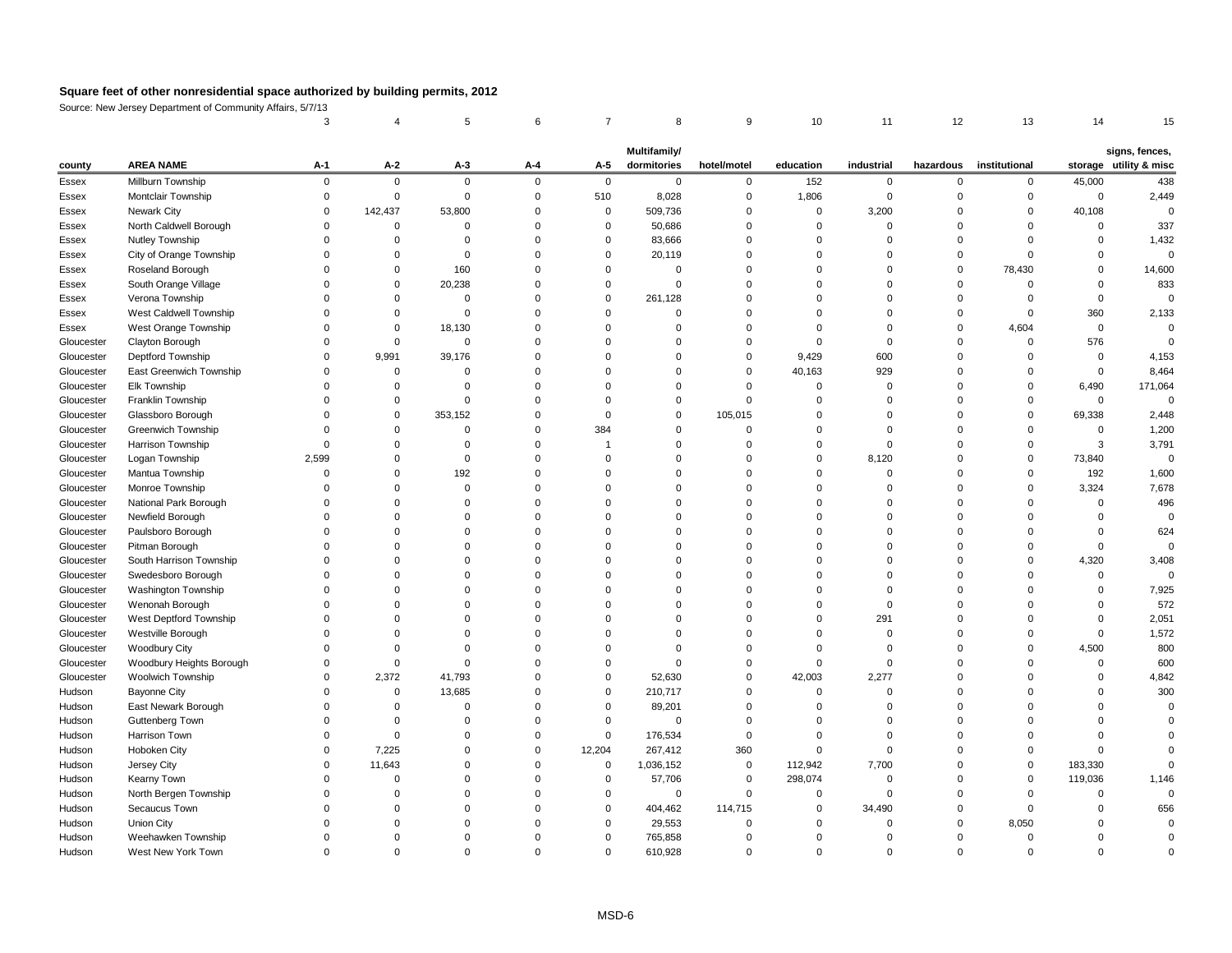Source: New Jersey Department of Community Affairs, 5/7/13

|            |                           |             |              |         |          |                | <b>Multifamily/</b> |             |           |                |              |               |          | signs, fences,         |
|------------|---------------------------|-------------|--------------|---------|----------|----------------|---------------------|-------------|-----------|----------------|--------------|---------------|----------|------------------------|
| county     | <b>AREA NAME</b>          | $A-1$       | $A-2$        | $A-3$   | $A-4$    | $A-5$          | dormitories         | hotel/motel | education | industrial     | hazardous    | institutional |          | storage utility & misc |
| Essex      | Millburn Township         | $\Omega$    | $\Omega$     | O       | $\Omega$ | $\Omega$       | $\Omega$            | 0           | 152       | $\Omega$       |              |               | 45,000   | 438                    |
| Essex      | Montclair Township        |             | $\Omega$     |         |          | 510            | 8,028               | ∩           | 1,806     |                |              |               | $\Omega$ | 2,449                  |
| Essex      | Newark City               |             | 142,437      | 53,800  |          | $\Omega$       | 509,736             |             | 0         | 3,200          |              |               | 40,108   |                        |
| Essex      | North Caldwell Borough    |             |              |         |          | $\Omega$       | 50,686              |             |           |                |              |               |          | 337                    |
| Essex      | Nutley Township           |             |              |         |          | 0              | 83,666              |             |           |                |              |               |          | 1,432                  |
| Essex      | City of Orange Township   |             |              |         |          |                | 20,119              |             |           |                |              |               |          |                        |
| Essex      | Roseland Borough          |             |              | 160     |          |                |                     |             |           |                |              | 78,430        |          | 14,600                 |
| Essex      | South Orange Village      |             | 0            | 20,238  |          |                |                     |             |           |                |              |               |          | 833                    |
| Essex      | Verona Township           |             |              |         |          |                | 261,128             |             |           |                |              |               |          |                        |
| Essex      | West Caldwell Township    |             |              |         |          |                |                     |             |           |                |              |               | 360      | 2,133                  |
| Essex      | West Orange Township      |             |              | 18,130  |          |                |                     |             |           |                |              | 4,604         |          |                        |
| Gloucester | Clayton Borough           |             |              |         |          |                |                     |             |           |                |              |               | 576      |                        |
| Gloucester | Deptford Township         |             | 9,991        | 39,176  |          |                |                     |             | 9,429     | 600            |              |               |          | 4,153                  |
| Gloucester | East Greenwich Township   |             |              |         |          |                |                     |             | 40,163    | 929            |              |               |          | 8,464                  |
| Gloucester | Elk Township              |             |              |         |          |                |                     |             |           |                |              |               | 6,490    | 171,064                |
| Gloucester | Franklin Township         |             |              |         |          |                |                     |             |           |                |              |               | $\Omega$ |                        |
| Gloucester | Glassboro Borough         |             |              | 353,152 |          |                |                     | 105,015     |           |                |              |               | 69,338   | 2,448                  |
| Gloucester | <b>Greenwich Township</b> |             |              |         |          | 384            |                     |             |           |                |              |               |          | 1,200                  |
| Gloucester | Harrison Township         |             |              |         |          |                |                     |             |           |                |              |               |          | 3,791                  |
| Gloucester | Logan Township            | 2,599       |              |         |          |                |                     |             |           | 8,120          |              |               | 73,840   |                        |
| Gloucester | Mantua Township           |             |              | 192     |          |                |                     |             |           |                |              |               | 192      | 1,600                  |
| Gloucester | Monroe Township           |             |              |         |          |                |                     |             |           |                |              |               | 3,324    | 7,678                  |
| Gloucester | National Park Borough     |             |              |         |          |                |                     |             |           |                |              |               |          | 496                    |
| Gloucester | Newfield Borough          |             |              |         |          |                |                     |             |           |                |              |               |          |                        |
| Gloucester | Paulsboro Borough         |             |              |         |          |                |                     |             |           |                |              |               |          | 624                    |
| Gloucester | Pitman Borough            |             |              |         |          |                |                     |             |           |                |              |               |          |                        |
| Gloucester | South Harrison Township   |             |              |         |          |                |                     |             |           |                |              |               | 4,320    | 3,408                  |
| Gloucester | Swedesboro Borough        |             |              |         |          |                |                     |             |           |                |              |               |          |                        |
| Gloucester | Washington Township       |             |              |         |          |                |                     |             |           |                |              |               |          | 7,925                  |
| Gloucester | Wenonah Borough           |             |              |         |          |                |                     |             |           |                |              |               |          | 572                    |
| Gloucester | West Deptford Township    |             |              |         |          |                |                     |             |           | 291            |              |               |          | 2,051                  |
| Gloucester | Westville Borough         |             |              |         |          |                |                     |             |           |                |              |               |          | 1,572                  |
| Gloucester | <b>Woodbury City</b>      |             |              |         |          |                |                     |             |           |                |              |               | 4,500    | 800                    |
| Gloucester | Woodbury Heights Borough  |             | $\Omega$     |         |          |                |                     |             |           |                |              |               |          | 600                    |
| Gloucester | Woolwich Township         | $\Omega$    | 2,372        | 41,793  |          |                | 52,630              | 0           | 42,003    | 2,277          |              |               |          | 4,842                  |
| Hudson     | <b>Bayonne City</b>       |             | 0            | 13,685  |          | 0              | 210,717             |             |           |                |              |               |          | 300                    |
| Hudson     | East Newark Borough       |             |              |         |          |                | 89,201              |             |           |                |              |               |          |                        |
| Hudson     | <b>Guttenberg Town</b>    |             |              |         |          |                | $\Omega$            |             |           |                |              |               |          |                        |
| Hudson     | Harrison Town             | $\Omega$    |              |         |          | $\Omega$       | 176,534             |             |           |                |              |               |          |                        |
| Hudson     | Hoboken City              | 0           | 7,225        |         |          | 12,204         | 267,412             | 360         |           |                |              |               |          |                        |
| Hudson     | Jersey City               | $\Omega$    | 11,643       |         |          | $\Omega$       | 1,036,152           | $\mathbf 0$ | 112,942   | 7,700          |              |               | 183,330  |                        |
| Hudson     | Kearny Town               |             |              |         |          |                | 57,706              | $\mathbf 0$ | 298,074   |                |              |               | 119,036  | 1,146                  |
| Hudson     | North Bergen Township     | $\Omega$    | 0            |         |          | $\Omega$       | $\Omega$            | $\Omega$    | 0         |                |              |               |          |                        |
| Hudson     | Secaucus Town             |             |              |         |          | $\Omega$       | 404,462             | 114,715     | 0         | 34,490         |              |               |          | 656                    |
| Hudson     | <b>Union City</b>         |             | <sup>0</sup> |         |          | $\Omega$       | 29,553              | 0           |           |                | <sup>0</sup> | 8,050         |          |                        |
| Hudson     | Weehawken Township        |             | 0            |         |          | $\overline{0}$ | 765,858             | ∩           |           |                |              |               |          |                        |
| Hudson     | West New York Town        | $\mathbf 0$ | $\mathbf 0$  |         | 0        | $\mathbf 0$    | 610,928             | $\mathbf 0$ |           | $\overline{0}$ | $\Omega$     |               | $\Omega$ |                        |
|            |                           |             |              |         |          |                |                     |             |           |                |              |               |          |                        |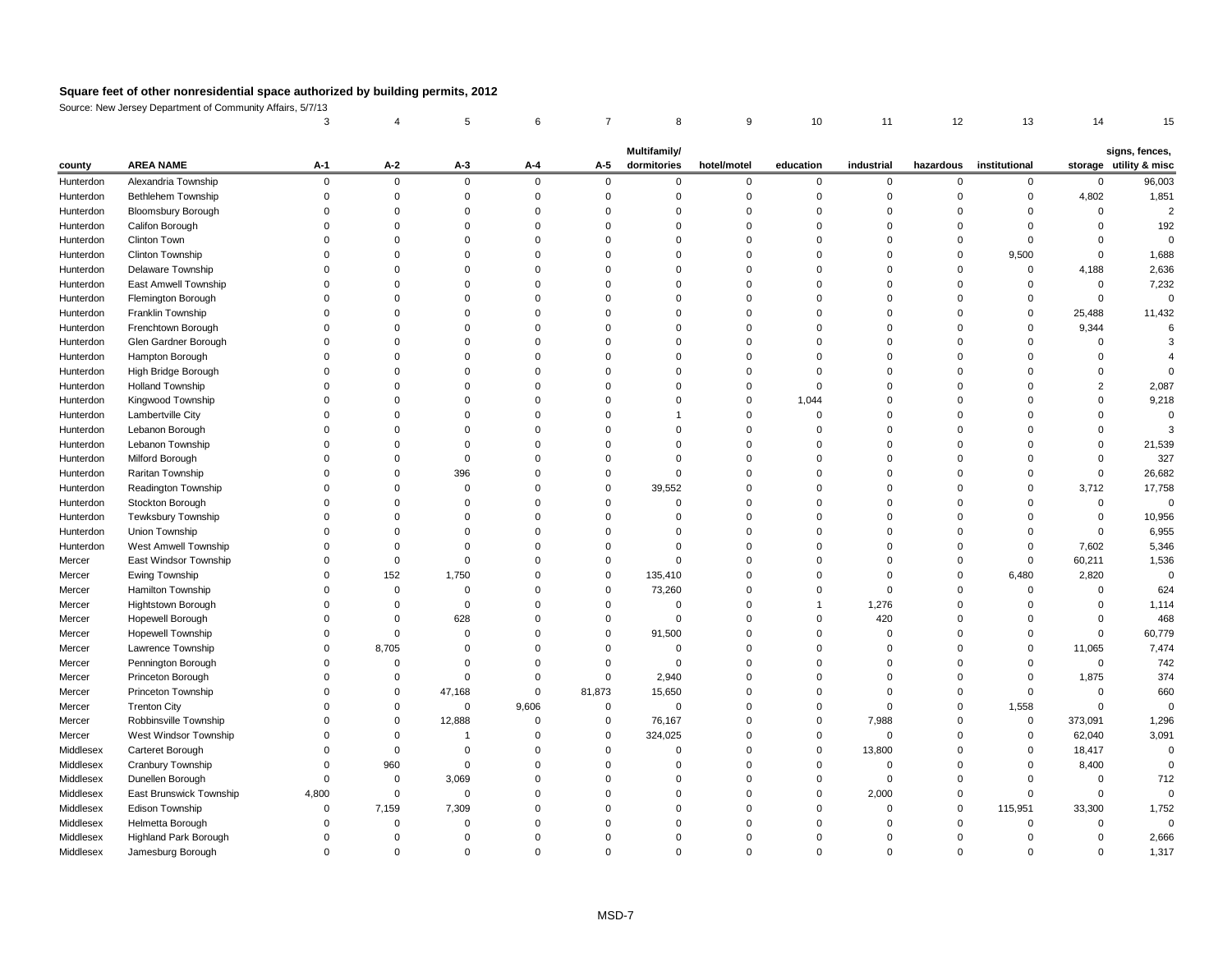Source: New Jersey Department of Community Affairs, 5/7/13 3 4 5 6 7 8 9 10 11 12 13 14 15

|           |                             |       |              |             |          |          | <b>Multifamily/</b> |                |           |            |          |                         |             | signs, fences,         |
|-----------|-----------------------------|-------|--------------|-------------|----------|----------|---------------------|----------------|-----------|------------|----------|-------------------------|-------------|------------------------|
| county    | <b>AREA NAME</b>            | $A-1$ | $A-2$        | $A-3$       | $A - 4$  | $A-5$    | dormitories         | hotel/motel    | education | industrial |          | hazardous institutional |             | storage utility & misc |
| Hunterdon | Alexandria Township         |       | $\Omega$     | $\mathbf 0$ | $\Omega$ | $\Omega$ |                     | $\Omega$       | 0         | $\Omega$   |          | $\mathbf{0}$            | $\Omega$    | 96,003                 |
| Hunterdon | <b>Bethlehem Township</b>   |       |              |             |          |          |                     |                |           |            |          | $\Omega$                | 4,802       | 1,851                  |
| Hunterdon | <b>Bloomsbury Borough</b>   |       |              |             |          |          |                     |                |           |            |          |                         |             |                        |
| Hunterdon | Califon Borough             |       |              |             |          |          |                     |                |           |            |          |                         |             | 192                    |
| Hunterdon | <b>Clinton Town</b>         |       |              |             |          |          |                     |                |           |            |          |                         |             |                        |
| Hunterdon | <b>Clinton Township</b>     |       |              |             |          |          |                     |                |           |            |          | 9,500                   |             | 1,688                  |
| Hunterdon | Delaware Township           |       |              |             |          |          |                     |                |           |            |          | -0                      | 4,188       | 2,636                  |
| Hunterdon | East Amwell Township        |       |              |             |          |          |                     |                |           |            |          |                         |             | 7,232                  |
| Hunterdon | Flemington Borough          |       |              |             |          |          |                     |                |           |            |          |                         |             | 0                      |
| Hunterdon | Franklin Township           |       |              |             |          |          |                     |                |           |            |          |                         | 25,488      | 11,432                 |
| Hunterdon | Frenchtown Borough          |       |              |             |          |          |                     |                |           |            |          |                         | 9,344       |                        |
| Hunterdon | Glen Gardner Borough        |       |              |             |          |          |                     |                |           |            |          |                         |             |                        |
| Hunterdon | Hampton Borough             |       |              |             |          |          |                     |                |           |            |          |                         |             |                        |
| Hunterdon | High Bridge Borough         |       |              |             |          |          |                     |                |           |            |          |                         |             |                        |
| Hunterdon | <b>Holland Township</b>     |       |              |             |          |          |                     |                |           |            |          |                         |             | 2,087                  |
| Hunterdon | Kingwood Township           |       |              |             |          |          |                     |                | 1,044     |            |          |                         |             | 9,218                  |
| Hunterdon | Lambertville City           |       |              |             |          |          |                     |                |           |            |          |                         |             |                        |
| Hunterdon | Lebanon Borough             |       |              |             |          |          |                     |                |           |            |          |                         |             |                        |
| Hunterdon | Lebanon Township            |       |              |             |          |          |                     |                | 0         |            |          |                         |             | 21,539                 |
| Hunterdon | Milford Borough             |       |              |             |          |          |                     |                |           |            |          |                         |             | 327                    |
| Hunterdon | Raritan Township            |       |              | 396         |          |          |                     |                |           |            |          |                         | $\Omega$    | 26,682                 |
| Hunterdon | Readington Township         |       |              | 0           |          | $\Omega$ | 39,552              |                |           |            |          |                         | 3,712       | 17,758                 |
| Hunterdon | Stockton Borough            |       |              |             |          |          |                     |                |           |            |          |                         |             |                        |
| Hunterdon | Tewksbury Township          |       |              |             |          |          |                     |                |           |            |          |                         |             | 10,956                 |
| Hunterdon | Union Township              |       |              |             |          |          |                     |                |           |            |          |                         |             | 6,955                  |
| Hunterdon | <b>West Amwell Township</b> |       |              |             |          |          |                     |                |           |            |          |                         | 7,602       | 5,346                  |
| Mercer    | East Windsor Township       |       |              |             |          |          |                     |                |           |            |          |                         | 60,211      | 1,536                  |
| Mercer    | Ewing Township              |       | 152          | 1,750       |          | 0        | 135,410             |                |           |            | O        | 6,480                   | 2,820       |                        |
| Mercer    | Hamilton Township           |       | $\Omega$     |             |          |          | 73,260              |                |           |            |          |                         |             | 624                    |
| Mercer    | Hightstown Borough          |       |              |             |          |          |                     |                |           | 1,276      |          |                         |             | 1,114                  |
| Mercer    | Hopewell Borough            |       |              | 628         |          |          |                     |                |           | 420        |          |                         |             | 468                    |
| Mercer    | Hopewell Township           |       |              |             |          | $\Omega$ | 91,500              |                |           |            |          |                         |             | 60,779                 |
| Mercer    | Lawrence Township           |       | 8,705        |             |          |          |                     |                |           |            |          |                         | 11,065      | 7,474                  |
| Mercer    | Pennington Borough          |       | $\Omega$     |             |          |          |                     |                |           |            |          |                         | $\Omega$    | 742                    |
| Mercer    | Princeton Borough           |       |              |             |          |          | 2,940               |                |           |            |          |                         | 1,875       | 374                    |
| Mercer    | Princeton Township          |       | $\mathbf{0}$ | 47,168      |          | 81,873   | 15,650              |                |           |            |          |                         |             | 660                    |
| Mercer    | <b>Trenton City</b>         |       |              | $\mathbf 0$ | 9,606    |          |                     |                |           |            |          | 1,558                   |             |                        |
| Mercer    | Robbinsville Township       |       | $\Omega$     | 12,888      |          | $\Omega$ | 76,167              |                |           | 7,988      |          | $\mathbf 0$             | 373,091     | 1,296                  |
| Mercer    | West Windsor Township       |       |              |             |          | $\Omega$ | 324,025             |                |           |            |          |                         | 62,040      | 3,091                  |
| Middlesex | Carteret Borough            |       |              |             |          |          |                     |                | 0         | 13,800     |          |                         | 18,417      |                        |
| Middlesex | Cranbury Township           |       | 960          | 0           |          |          |                     |                |           |            |          |                         | 8,400       |                        |
| Middlesex | Dunellen Borough            |       | $\Omega$     | 3,069       |          |          |                     |                |           |            |          |                         |             | 712                    |
| Middlesex | East Brunswick Township     | 4,800 | $\Omega$     | $\Omega$    |          |          |                     |                |           | 2,000      |          |                         |             |                        |
| Middlesex | Edison Township             |       | 7,159        | 7,309       |          |          |                     |                |           |            | 0        | 115,951                 | 33,300      | 1,752                  |
| Middlesex | Helmetta Borough            |       |              |             |          |          |                     |                |           |            |          | $\Omega$                |             | 0                      |
| Middlesex | Highland Park Borough       |       | $\Omega$     |             |          |          |                     |                |           |            |          |                         |             | 2,666                  |
| Middlesex | Jamesburg Borough           |       | 0            | 0           | 0        |          |                     | $\overline{0}$ | 0         | 0          | $\Omega$ |                         | $\mathbf 0$ | 1,317                  |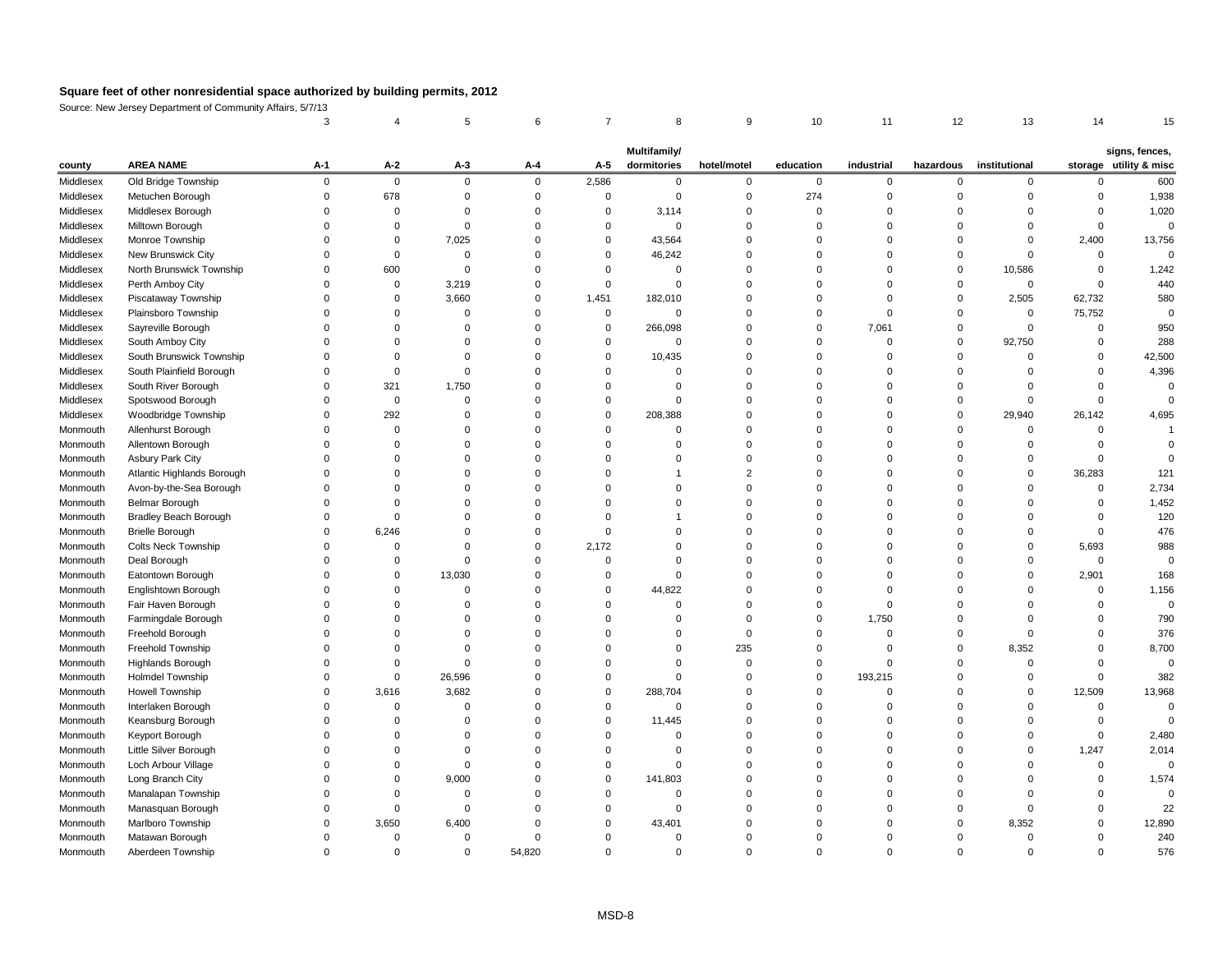Source: New Jersey Department of Community Affairs, 5/7/13

|           |                              |          |                |          |                |          | <b>Multifamily/</b> |             |              |             |          |                         |              | signs, fences,         |
|-----------|------------------------------|----------|----------------|----------|----------------|----------|---------------------|-------------|--------------|-------------|----------|-------------------------|--------------|------------------------|
| county    | <b>AREA NAME</b>             | $A-1$    | $A-2$          | $A-3$    | $A-4$          | $A-5$    | dormitories         | hotel/motel | education    | industrial  |          | hazardous institutional |              | storage utility & misc |
| Middlesex | Old Bridge Township          | $\Omega$ | $\overline{0}$ | $\Omega$ | $\overline{0}$ | 2,586    | $\mathbf 0$         | 0           | $\mathbf{0}$ | $\mathbf 0$ | $\Omega$ | $\mathbf 0$             |              | 600                    |
| Middlesex | Metuchen Borough             |          | 678            |          |                | 0        | $\Omega$            | ∩           | 274          |             |          |                         |              | 1,938                  |
| Middlesex | Middlesex Borough            |          | $\Omega$       |          |                | $\Omega$ | 3,114               |             |              |             |          |                         |              | 1,020                  |
| Middlesex | Milltown Borough             |          | 0              |          |                |          |                     |             |              |             |          |                         |              |                        |
| Middlesex | Monroe Township              |          | $\Omega$       | 7,025    |                | 0        | 43,564              |             |              |             |          |                         | 2,400        | 13,756                 |
| Middlesex | New Brunswick City           |          | $\Omega$       |          |                |          | 46,242              |             |              |             |          |                         |              |                        |
| Middlesex | North Brunswick Township     |          | 600            |          |                |          |                     |             |              |             |          | 10,586                  |              | 1,242                  |
| Middlesex | Perth Amboy City             |          | 0              | 3,219    |                |          | $\Omega$            |             |              |             |          | 0                       |              | 440                    |
| Middlesex | Piscataway Township          |          | 0              | 3,660    |                | 1,451    | 182,010             |             |              |             |          | 2,505                   | 62,732       | 580                    |
| Middlesex | Plainsboro Township          |          | $\Omega$       |          |                | 0        | 0                   |             |              |             |          | 0                       | 75,752       |                        |
| Middlesex | Sayreville Borough           |          | $\Omega$       |          |                | $\Omega$ | 266,098             |             |              | 7,061       |          | $\Omega$                | <sup>0</sup> | 950                    |
| Middlesex | South Amboy City             |          |                |          |                |          | $\Omega$            |             |              |             |          | 92,750                  |              | 288                    |
| Middlesex | South Brunswick Township     |          |                |          |                | $\Omega$ | 10,435              |             |              |             |          |                         |              | 42,500                 |
| Middlesex | South Plainfield Borough     |          | ∩              |          |                |          |                     |             |              |             |          |                         |              | 4,396                  |
| Middlesex | South River Borough          |          | 321            | 1,750    |                |          |                     |             |              |             |          |                         |              |                        |
| Middlesex | Spotswood Borough            |          | $\Omega$       |          |                |          |                     |             |              |             |          |                         |              |                        |
| Middlesex | Woodbridge Township          |          | 292            |          |                | $\Omega$ | 208,388             |             |              |             |          | 29,940                  | 26,142       | 4,695                  |
| Monmouth  | Allenhurst Borough           |          | $\Omega$       |          |                |          |                     |             |              |             |          |                         |              |                        |
| Monmouth  | Allentown Borough            |          | $\Omega$       |          |                |          |                     |             |              |             |          |                         |              |                        |
| Monmouth  | Asbury Park City             |          |                |          |                |          |                     |             |              |             |          |                         |              |                        |
| Monmouth  | Atlantic Highlands Borough   |          |                |          |                |          |                     |             |              |             |          | $\Omega$                | 36,283       | 121                    |
| Monmouth  | Avon-by-the-Sea Borough      |          |                |          |                |          |                     |             |              |             |          |                         |              | 2,734                  |
| Monmouth  | <b>Belmar Borough</b>        |          |                |          |                |          |                     |             |              |             |          |                         |              | 1,452                  |
| Monmouth  | <b>Bradley Beach Borough</b> |          |                |          |                |          |                     |             |              |             |          |                         |              | 120                    |
| Monmouth  | <b>Brielle Borough</b>       |          | 6,246          |          |                |          |                     |             |              |             |          |                         |              | 476                    |
| Monmouth  | <b>Colts Neck Township</b>   |          |                |          |                | 2,172    |                     |             |              |             |          |                         | 5,693        | 988                    |
| Monmouth  | Deal Borough                 |          | ∩              |          |                |          |                     |             |              |             |          |                         | $\Omega$     |                        |
| Monmouth  | Eatontown Borough            |          |                | 13,030   |                |          |                     |             |              |             |          |                         | 2,901        | 168                    |
| Monmouth  | Englishtown Borough          |          |                |          |                |          | 44,822              |             |              |             |          |                         |              | 1,156                  |
| Monmouth  | Fair Haven Borough           |          |                |          |                |          |                     |             |              |             |          |                         |              |                        |
| Monmouth  | Farmingdale Borough          |          |                |          |                |          |                     |             |              | 1,750       |          |                         |              | 790                    |
| Monmouth  | Freehold Borough             |          |                |          |                |          |                     |             |              |             |          |                         |              | 376                    |
| Monmouth  | Freehold Township            |          |                |          |                |          |                     | 235         |              |             |          | 8,352                   |              | 8,700                  |
| Monmouth  | <b>Highlands Borough</b>     |          |                |          |                |          |                     | ∩           |              |             |          | $\Omega$                |              |                        |
| Monmouth  | <b>Holmdel Township</b>      |          | $\Omega$       | 26,596   |                |          |                     |             |              | 193,215     |          |                         |              | 382                    |
| Monmouth  | Howell Township              |          | 3,616          | 3,682    |                | $\Omega$ | 288,704             |             |              |             |          | $\Omega$                | 12,509       | 13,968                 |
| Monmouth  | Interlaken Borough           |          |                |          |                |          | $\Omega$            |             |              |             |          |                         |              |                        |
| Monmouth  | Keansburg Borough            |          |                |          |                |          | 11,445              |             |              |             |          |                         |              |                        |
| Monmouth  | Keyport Borough              |          |                |          |                |          |                     |             |              |             |          |                         |              | 2,480                  |
| Monmouth  | Little Silver Borough        |          |                |          |                |          |                     |             |              |             |          |                         | 1,247        | 2,014                  |
| Monmouth  | Loch Arbour Village          |          |                |          |                |          |                     |             |              |             |          |                         |              |                        |
| Monmouth  | Long Branch City             |          |                | 9,000    |                |          | 141,803             |             |              |             |          |                         |              | 1,574                  |
| Monmouth  | Manalapan Township           |          |                |          |                |          |                     |             |              |             |          |                         |              |                        |
| Monmouth  | Manasquan Borough            |          |                |          |                |          |                     |             |              |             |          |                         |              | 22                     |
| Monmouth  | Marlboro Township            |          | 3,650          | 6,400    |                |          | 43,401              |             |              |             |          | 8,352                   |              | 12,890                 |
| Monmouth  | Matawan Borough              |          | 0              |          |                |          |                     |             |              |             |          |                         |              | 240                    |
| Monmouth  | Aberdeen Township            |          | 0              | 0        | 54,820         |          | 0                   | 0           |              | $\Omega$    |          |                         |              | 576                    |
|           |                              |          |                |          |                |          |                     |             |              |             |          |                         |              |                        |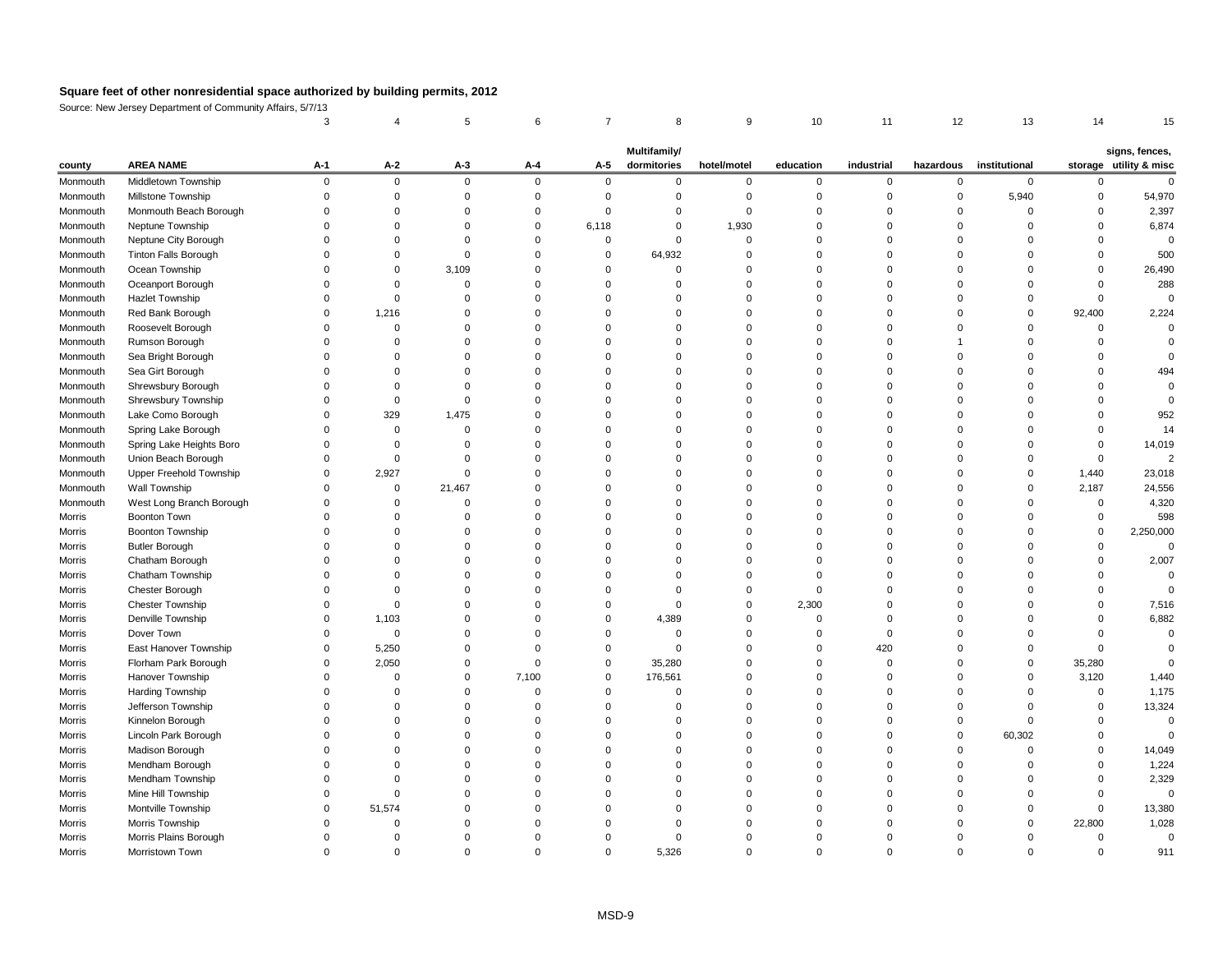Source: New Jersey Department of Community Affairs, 5/7/13

|               |                                |       |                |             |          |             | Multifamily/ |             |           |            |           |               |          | signs, fences,         |
|---------------|--------------------------------|-------|----------------|-------------|----------|-------------|--------------|-------------|-----------|------------|-----------|---------------|----------|------------------------|
| county        | <b>AREA NAME</b>               | $A-1$ | $A-2$          | $A-3$       | $A-4$    | $A-5$       | dormitories  | hotel/motel | education | industrial | hazardous | institutional |          | storage utility & misc |
| Monmouth      | Middletown Township            |       | $\overline{0}$ | $\mathbf 0$ | $\Omega$ | $\mathbf 0$ | $\Omega$     | 0           | 0         | $\Omega$   | $\Omega$  | $\mathbf 0$   |          |                        |
| Monmouth      | Millstone Township             |       |                |             |          |             |              |             |           |            |           | 5,940         |          | 54,970                 |
| Monmouth      | Monmouth Beach Borough         |       |                |             |          |             |              |             |           |            |           | ∩             |          | 2,397                  |
| Monmouth      | Neptune Township               |       |                |             |          | 6,118       |              | 1,930       |           |            |           |               |          | 6,874                  |
| Monmouth      | Neptune City Borough           |       |                |             |          |             |              |             |           |            |           |               |          |                        |
| Monmouth      | <b>Tinton Falls Borough</b>    |       |                |             |          |             | 64,932       |             |           |            |           |               |          | 500                    |
| Monmouth      | Ocean Township                 |       | 0              | 3,109       |          | $\Omega$    | ∩            |             |           |            |           |               |          | 26,490                 |
| Monmouth      | Oceanport Borough              |       |                |             |          |             |              |             |           |            |           |               |          | 288                    |
| Monmouth      | <b>Hazlet Township</b>         |       |                |             |          |             |              |             |           |            |           |               |          |                        |
| Monmouth      | Red Bank Borough               |       | 1,216          |             |          |             |              |             |           |            |           | 0             | 92,400   | 2,224                  |
| Monmouth      | Roosevelt Borough              |       | $\Omega$       |             |          |             |              |             |           |            |           | $\Omega$      |          |                        |
| Monmouth      | Rumson Borough                 |       |                |             |          |             |              |             |           |            |           |               |          |                        |
| Monmouth      | Sea Bright Borough             |       |                |             |          |             |              |             |           |            |           |               |          |                        |
| Monmouth      | Sea Girt Borough               |       |                |             |          |             |              |             |           |            |           |               |          | 494                    |
| Monmouth      | Shrewsbury Borough             |       |                |             |          |             |              |             |           |            |           |               |          |                        |
| Monmouth      | <b>Shrewsbury Township</b>     |       |                |             |          |             |              |             |           |            |           |               |          |                        |
| Monmouth      | Lake Como Borough              |       | 329            | 1,475       |          |             |              |             |           |            |           |               |          | 952                    |
| Monmouth      | Spring Lake Borough            |       |                |             |          |             |              |             |           |            |           |               |          | 14                     |
| Monmouth      | Spring Lake Heights Boro       |       |                |             |          |             |              |             |           |            |           |               |          | 14,019                 |
| Monmouth      | Union Beach Borough            |       |                |             |          |             |              |             |           |            |           |               |          |                        |
| Monmouth      | <b>Upper Freehold Township</b> |       | 2,927          |             |          |             |              |             |           |            |           | $\Omega$      | 1,440    | 23,018                 |
| Monmouth      | Wall Township                  |       | 0              | 21,467      |          |             |              |             |           |            |           | ∩             | 2,187    | 24,556                 |
| Monmouth      | West Long Branch Borough       |       |                |             |          |             |              |             |           |            |           |               |          | 4,320                  |
| <b>Morris</b> | <b>Boonton Town</b>            |       |                |             |          |             |              |             |           |            |           |               |          | 598                    |
| Morris        | <b>Boonton Township</b>        |       |                |             |          |             |              |             |           |            |           |               |          | 2,250,000              |
| Morris        | <b>Butler Borough</b>          |       |                |             |          |             |              |             |           |            |           |               |          |                        |
| Morris        | Chatham Borough                |       |                |             |          |             |              |             |           |            |           |               |          | 2,007                  |
| Morris        | Chatham Township               |       |                |             |          |             |              |             |           |            |           |               |          |                        |
| <b>Morris</b> | Chester Borough                |       |                |             |          |             |              |             |           |            |           |               |          |                        |
| <b>Morris</b> | <b>Chester Township</b>        |       |                |             |          |             | 0            |             | 2,300     |            |           |               |          | 7,516                  |
| Morris        | Denville Township              |       | 1,103          |             |          |             | 4,389        |             |           |            |           |               |          | 6,882                  |
| Morris        | Dover Town                     |       | $\overline{0}$ |             |          |             |              |             |           |            |           |               |          |                        |
| <b>Morris</b> | East Hanover Township          |       | 5,250          |             |          |             | ∩            |             |           | 420        |           |               |          |                        |
| <b>Morris</b> | Florham Park Borough           |       | 2,050          |             |          | $\Omega$    | 35,280       |             |           |            |           | $\Omega$      | 35,280   |                        |
| Morris        | Hanover Township               |       |                |             | 7,100    | $\Omega$    | 176,561      |             |           |            |           | $\Omega$      | 3,120    | 1,440                  |
| Morris        | <b>Harding Township</b>        |       |                |             |          | ∩           | ∩            |             |           |            |           |               | $\Omega$ | 1,175                  |
| <b>Morris</b> | Jefferson Township             |       |                |             |          |             |              |             |           |            |           |               |          | 13,324                 |
| <b>Morris</b> | Kinnelon Borough               |       |                |             |          |             |              |             |           |            |           | ∩             |          | $\Omega$               |
| <b>Morris</b> | Lincoln Park Borough           |       |                |             |          |             |              |             |           |            |           | 60,302        |          |                        |
| <b>Morris</b> | Madison Borough                |       |                |             |          |             |              |             |           |            |           |               |          | 14,049                 |
| <b>Morris</b> | Mendham Borough                |       |                |             |          |             |              |             |           |            |           |               |          | 1,224                  |
| Morris        | Mendham Township               |       |                |             |          |             |              |             |           |            |           |               |          | 2,329                  |
| <b>Morris</b> | Mine Hill Township             |       |                |             |          |             |              |             |           |            |           |               |          | $\mathbf 0$            |
| Morris        | Montville Township             |       | 51,574         |             |          |             |              |             |           |            |           |               |          | 13,380                 |
| Morris        | Morris Township                |       |                |             |          |             |              |             |           |            |           | $\Omega$      | 22,800   | 1,028                  |
| Morris        | Morris Plains Borough          |       | 0              |             |          |             |              |             |           |            |           |               |          | 0                      |
| Morris        | Morristown Town                |       | 0              |             |          | 0           | 5,326        |             |           |            |           |               |          | 911                    |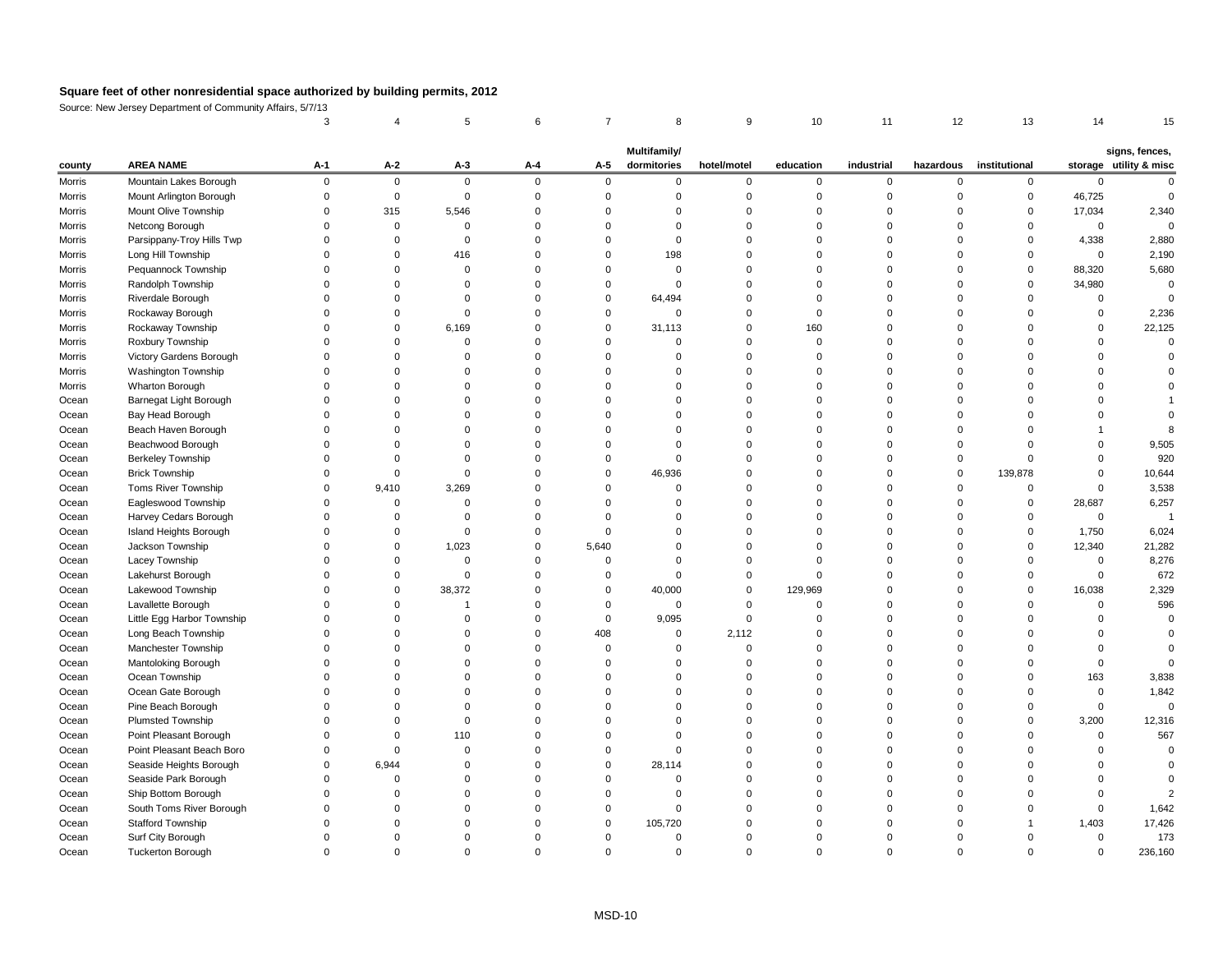Source: New Jersey Department of Community Affairs, 5/7/13

| county        | <b>AREA NAME</b>           | $A-1$ | $A-2$    | $A-3$       | $A-4$    | $A-5$    | <b>Multifamily/</b><br>dormitories | hotel/motel | education | industrial | hazardous | institutional |             | signs, fences,<br>storage utility & misc |
|---------------|----------------------------|-------|----------|-------------|----------|----------|------------------------------------|-------------|-----------|------------|-----------|---------------|-------------|------------------------------------------|
| Morris        | Mountain Lakes Borough     |       | $\Omega$ | $\mathbf 0$ | $\Omega$ | $\Omega$ |                                    |             |           |            |           | $\Omega$      |             |                                          |
| <b>Morris</b> | Mount Arlington Borough    |       |          | $\Omega$    |          |          |                                    |             |           |            |           | $\Omega$      | 46,725      |                                          |
| <b>Morris</b> | Mount Olive Township       |       | 315      | 5,546       |          |          |                                    |             |           |            |           | $\Omega$      | 17,034      | 2,340                                    |
| <b>Morris</b> | Netcong Borough            |       |          |             |          |          |                                    |             |           |            |           |               | $\Omega$    |                                          |
| Morris        | Parsippany-Troy Hills Twp  |       |          |             |          |          |                                    |             |           |            |           |               | 4,338       | 2,880                                    |
| <b>Morris</b> | Long Hill Township         |       |          | 416         |          |          | 198                                |             |           |            |           |               | $\Omega$    | 2,190                                    |
| <b>Morris</b> | Pequannock Township        |       |          |             |          |          |                                    |             |           |            |           | $\Omega$      | 88,320      | 5,680                                    |
| <b>Morris</b> | Randolph Township          |       |          |             |          |          |                                    |             |           |            |           |               | 34,980      |                                          |
| Morris        | Riverdale Borough          |       |          |             |          |          | 64,494                             |             |           |            |           |               |             |                                          |
| <b>Morris</b> | Rockaway Borough           |       |          |             |          |          |                                    |             |           |            |           |               |             | 2,236                                    |
| Morris        | Rockaway Township          |       |          | 6,169       |          |          | 31,113                             |             | 160       |            |           |               |             | 22,125                                   |
| <b>Morris</b> | Roxbury Township           |       |          |             |          |          |                                    |             |           |            |           |               |             |                                          |
| <b>Morris</b> | Victory Gardens Borough    |       |          |             |          |          |                                    |             |           |            |           |               |             |                                          |
| Morris        | Washington Township        |       |          |             |          |          |                                    |             |           |            |           |               |             |                                          |
| Morris        | Wharton Borough            |       |          |             |          |          |                                    |             |           |            |           |               |             |                                          |
| Ocean         | Barnegat Light Borough     |       |          |             |          |          |                                    |             |           |            |           |               |             |                                          |
| Ocean         | Bay Head Borough           |       |          |             |          |          |                                    |             |           |            |           |               |             |                                          |
| Ocean         | Beach Haven Borough        |       |          |             |          |          |                                    |             |           |            |           |               |             |                                          |
| Ocean         | Beachwood Borough          |       |          |             |          |          |                                    |             |           |            |           |               |             | 9,505                                    |
| Ocean         | <b>Berkeley Township</b>   |       |          |             |          |          |                                    |             |           |            |           |               |             | 920                                      |
| Ocean         | <b>Brick Township</b>      |       |          |             |          |          | 46,936                             |             |           |            |           | 139,878       |             | 10,644                                   |
| Ocean         | Toms River Township        |       | 9,410    | 3,269       |          |          |                                    |             |           |            |           | $\Omega$      |             | 3,538                                    |
| Ocean         | Eagleswood Township        |       |          |             |          |          |                                    |             |           |            |           | $\Omega$      | 28,687      | 6,257                                    |
| Ocean         | Harvey Cedars Borough      |       |          |             |          |          |                                    |             |           |            |           |               |             |                                          |
| Ocean         | Island Heights Borough     |       |          |             |          |          |                                    |             |           |            |           | $\Omega$      | 1,750       | 6,024                                    |
| Ocean         | Jackson Township           |       |          | 1,023       |          | 5,640    |                                    |             |           |            |           |               | 12,340      | 21,282                                   |
| Ocean         | Lacey Township             |       |          |             |          |          |                                    |             |           |            |           |               |             | 8,276                                    |
| Ocean         | Lakehurst Borough          |       |          |             |          |          |                                    |             |           |            |           |               |             | 672                                      |
| Ocean         | Lakewood Township          |       |          | 38,372      |          |          | 40,000                             |             | 129,969   |            |           | $\Omega$      | 16,038      | 2,329                                    |
| Ocean         | Lavallette Borough         |       |          |             |          |          |                                    |             |           |            |           |               |             | 596                                      |
| Ocean         | Little Egg Harbor Township |       |          |             |          |          | 9,095                              |             |           |            |           |               |             |                                          |
| Ocean         | Long Beach Township        |       |          |             |          | 408      |                                    | 2,112       |           |            |           |               |             |                                          |
| Ocean         | Manchester Township        |       |          |             |          |          |                                    |             |           |            |           |               |             |                                          |
| Ocean         | Mantoloking Borough        |       |          |             |          |          |                                    |             |           |            |           |               |             |                                          |
| Ocean         | Ocean Township             |       |          |             |          |          |                                    |             |           |            |           |               | 163         | 3,838                                    |
| Ocean         | Ocean Gate Borough         |       |          |             |          |          |                                    |             |           |            |           |               |             | 1,842                                    |
| Ocean         | Pine Beach Borough         |       |          |             |          |          |                                    |             |           |            |           |               |             | 0                                        |
| Ocean         | Plumsted Township          |       |          |             |          |          |                                    |             |           |            |           |               | 3,200       | 12,316                                   |
| Ocean         | Point Pleasant Borough     |       |          | 110         |          |          |                                    |             |           |            |           |               |             | 567                                      |
| Ocean         | Point Pleasant Beach Boro  |       |          |             |          |          |                                    |             |           |            |           |               |             |                                          |
| Ocean         | Seaside Heights Borough    |       | 6,944    |             |          |          | 28,114                             |             |           |            |           |               |             |                                          |
| Ocean         | Seaside Park Borough       |       |          |             |          |          |                                    |             |           |            |           |               |             |                                          |
| Ocean         | Ship Bottom Borough        |       |          |             |          |          |                                    |             |           |            |           |               |             |                                          |
| Ocean         | South Toms River Borough   |       |          |             |          |          |                                    |             |           |            |           |               |             | 1,642                                    |
| Ocean         | <b>Stafford Township</b>   |       |          |             |          | $\Omega$ | 105,720                            |             |           |            |           |               | 1,403       | 17,426                                   |
| Ocean         | Surf City Borough          |       |          |             |          |          |                                    |             |           |            |           |               | $\mathbf 0$ | 173                                      |
| Ocean         | Tuckerton Borough          |       |          |             | $\Omega$ |          |                                    | 0           |           |            |           |               | $\Omega$    | 236,160                                  |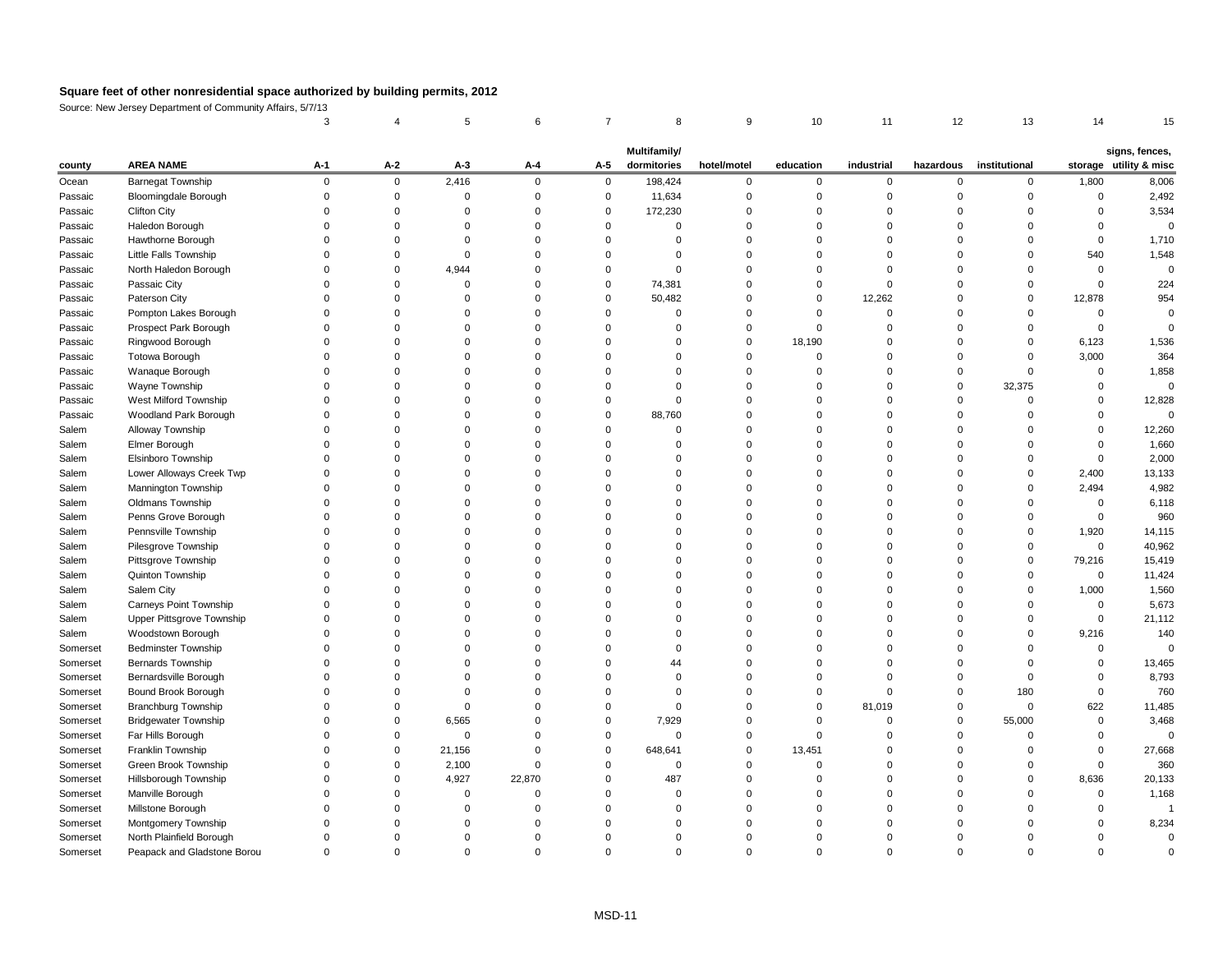Source: New Jersey Department of Community Affairs, 5/7/13 3 4 5 6 7 8 9 10 11 12 13 14 15

|          |                               |             |                |        |                |                | <b>Multifamily/</b> |             |           |                |           |               |          |                                          |
|----------|-------------------------------|-------------|----------------|--------|----------------|----------------|---------------------|-------------|-----------|----------------|-----------|---------------|----------|------------------------------------------|
| county   | <b>AREA NAME</b>              | $A-1$       | $A-2$          | $A-3$  | $A-4$          | $A-5$          | dormitories         | hotel/motel | education | industrial     | hazardous | institutional |          | signs, fences,<br>storage utility & misc |
| Ocean    | <b>Barnegat Township</b>      | $\mathbf 0$ | $\overline{0}$ | 2,416  | $\overline{0}$ | $\overline{0}$ | 198,424             | $\mathbf 0$ | 0         | $\overline{0}$ | $\Omega$  | $\Omega$      | 1,800    | 8,006                                    |
| Passaic  | <b>Bloomingdale Borough</b>   |             | 0              |        |                | 0              | 11,634              |             |           |                |           |               |          | 2,492                                    |
| Passaic  | <b>Clifton City</b>           |             |                |        |                | $\Omega$       | 172,230             |             |           |                |           |               |          | 3,534                                    |
| Passaic  | Haledon Borough               |             |                |        |                |                |                     |             |           |                |           |               |          |                                          |
| Passaic  | Hawthorne Borough             |             |                |        |                |                |                     |             |           |                |           |               |          | 1,710                                    |
| Passaic  | Little Falls Township         |             |                |        |                |                |                     |             |           |                |           |               | 540      | 1,548                                    |
| Passaic  | North Haledon Borough         |             | 0              | 4,944  |                |                |                     |             |           |                |           |               |          |                                          |
| Passaic  | Passaic City                  |             |                |        |                |                | 74,381              |             |           |                |           |               |          | 224                                      |
| Passaic  | Paterson City                 |             |                |        |                |                | 50,482              |             |           | 12,262         |           |               | 12,878   | 954                                      |
| Passaic  | Pompton Lakes Borough         |             |                |        |                |                |                     |             |           |                |           |               |          |                                          |
| Passaic  | Prospect Park Borough         |             |                |        |                |                |                     |             |           |                |           |               |          |                                          |
| Passaic  | Ringwood Borough              |             |                |        |                |                |                     |             | 18,190    |                |           |               | 6,123    | 1,536                                    |
| Passaic  | Totowa Borough                |             |                |        |                |                |                     |             |           |                |           |               | 3,000    | 364                                      |
| Passaic  | Wanaque Borough               |             |                |        |                |                |                     |             |           |                |           |               |          | 1,858                                    |
| Passaic  | Wayne Township                |             |                |        |                |                |                     |             |           |                |           | 32,375        |          | 0                                        |
| Passaic  | West Milford Township         |             |                |        |                |                |                     |             |           |                |           |               |          | 12,828                                   |
| Passaic  | Woodland Park Borough         |             |                |        |                | 0              | 88,760              |             |           |                |           |               |          |                                          |
| Salem    | Alloway Township              |             |                |        |                |                |                     |             |           |                |           |               |          | 12,260                                   |
| Salem    | Elmer Borough                 |             |                |        |                |                |                     |             |           |                |           |               |          | 1,660                                    |
| Salem    | Elsinboro Township            |             |                |        |                |                |                     |             |           |                |           |               |          | 2,000                                    |
| Salem    | Lower Alloways Creek Twp      |             |                |        |                |                |                     |             |           |                |           |               | 2,400    | 13,133                                   |
| Salem    | Mannington Township           |             |                |        |                |                |                     |             |           |                |           |               | 2,494    | 4,982                                    |
| Salem    | Oldmans Township              |             |                |        |                |                |                     |             |           |                |           |               |          | 6,118                                    |
| Salem    | Penns Grove Borough           |             |                |        |                |                |                     |             |           |                |           |               |          | 960                                      |
| Salem    | Pennsville Township           |             |                |        |                |                |                     |             |           |                |           |               | 1,920    | 14,115                                   |
| Salem    | Pilesgrove Township           |             |                |        |                |                |                     |             |           |                |           |               | $\Omega$ | 40,962                                   |
| Salem    | Pittsgrove Township           |             |                |        |                |                |                     |             |           |                |           |               | 79,216   | 15,419                                   |
| Salem    | Quinton Township              |             |                |        |                |                |                     |             |           |                |           |               |          | 11,424                                   |
| Salem    | Salem City                    |             |                |        |                |                |                     |             |           |                |           |               | 1,000    | 1,560                                    |
| Salem    | <b>Carneys Point Township</b> |             |                |        |                |                |                     |             |           |                |           |               | $\Omega$ | 5,673                                    |
| Salem    | Upper Pittsgrove Township     |             |                |        |                |                |                     |             |           |                |           |               |          | 21,112                                   |
| Salem    | Woodstown Borough             |             |                |        |                |                |                     |             |           |                |           |               | 9,216    | 140                                      |
| Somerset | <b>Bedminster Township</b>    |             |                |        |                |                |                     |             |           |                |           |               |          |                                          |
| Somerset | Bernards Township             |             |                |        |                |                | 44                  |             |           |                |           |               |          | 13,465                                   |
| Somerset | Bernardsville Borough         |             |                |        |                |                |                     |             |           |                |           |               |          | 8,793                                    |
| Somerset | Bound Brook Borough           |             |                |        |                |                |                     |             |           |                |           | 180           |          | 760                                      |
| Somerset | Branchburg Township           |             |                |        |                |                |                     |             |           | 81,019         |           | $\Omega$      | 622      | 11,485                                   |
| Somerset | <b>Bridgewater Township</b>   |             | <sup>0</sup>   | 6,565  |                |                | 7,929               |             |           |                |           | 55,000        |          | 3,468                                    |
| Somerset | Far Hills Borough             |             |                |        |                |                | $\Omega$            |             |           |                |           |               |          |                                          |
| Somerset | Franklin Township             |             | 0              | 21,156 |                | 0              | 648,641             |             | 13,451    |                |           |               |          | 27,668                                   |
| Somerset | Green Brook Township          |             |                | 2,100  |                |                | $\Omega$            |             |           |                |           |               |          | 360                                      |
| Somerset | Hillsborough Township         |             |                | 4,927  | 22,870         |                | 487                 |             |           |                |           |               | 8,636    | 20,133                                   |
| Somerset | Manville Borough              |             |                |        |                |                |                     |             |           |                |           |               |          | 1,168                                    |
| Somerset | Millstone Borough             |             |                |        |                |                |                     |             |           |                |           |               |          |                                          |
| Somerset | Montgomery Township           |             |                |        |                |                |                     |             |           |                |           |               |          | 8,234                                    |
| Somerset | North Plainfield Borough      |             |                |        |                |                |                     |             |           |                |           |               |          |                                          |
| Somerset | Peapack and Gladstone Borou   | $\mathbf 0$ | 0              |        | 0              |                |                     | 0           |           | 0              |           |               |          |                                          |
|          |                               |             |                |        |                |                |                     |             |           |                |           |               |          |                                          |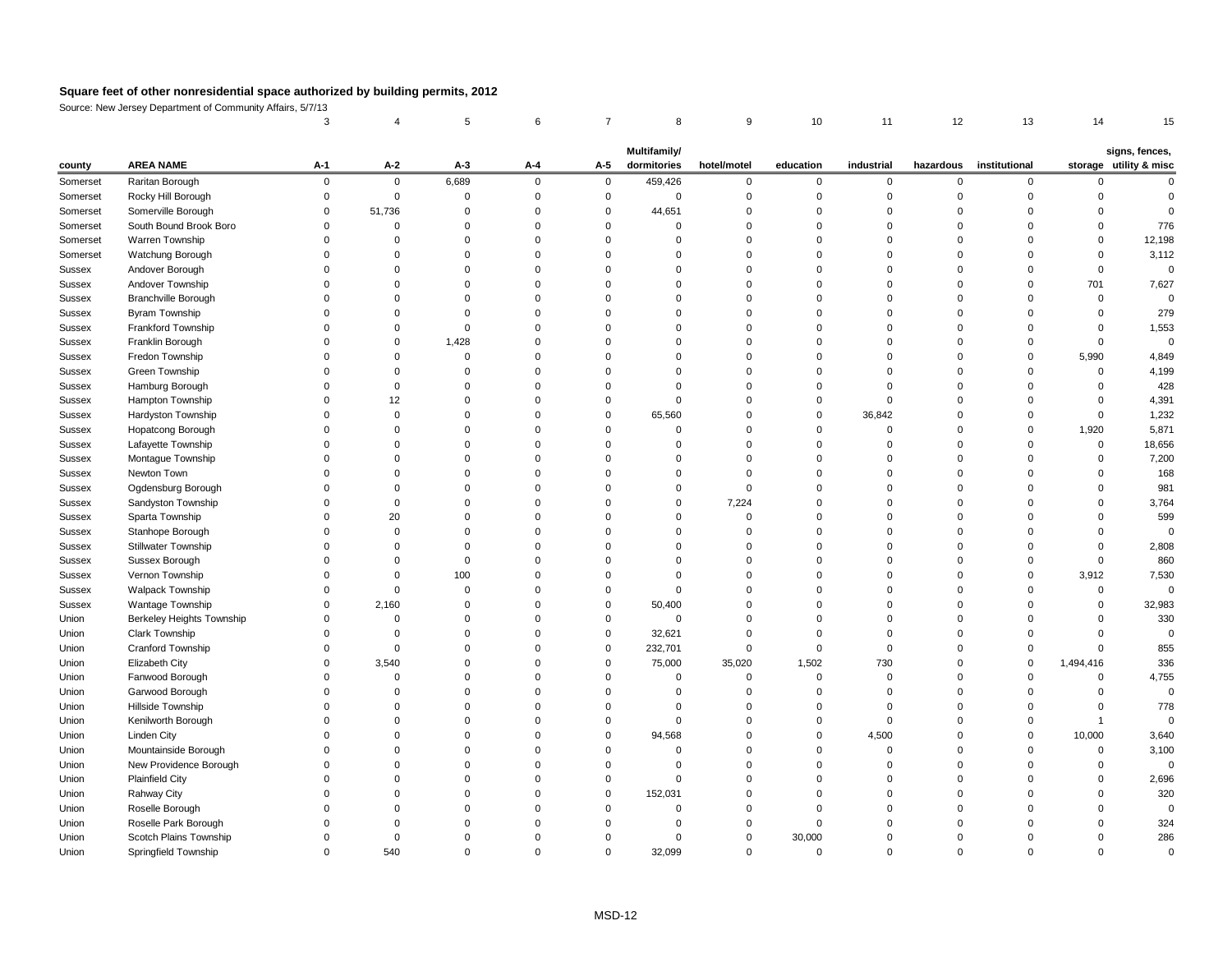Source: New Jersey Department of Community Affairs, 5/7/13

|               |                            | Multifamily/<br>signs, fences, |                |       |                |             |             |             |           |            |           |               |           |                        |
|---------------|----------------------------|--------------------------------|----------------|-------|----------------|-------------|-------------|-------------|-----------|------------|-----------|---------------|-----------|------------------------|
| county        | <b>AREA NAME</b>           | $A-1$                          | $A-2$          | $A-3$ | $A-4$          | $A-5$       | dormitories | hotel/motel | education | industrial | hazardous | institutional |           | storage utility & misc |
| Somerset      | Raritan Borough            | $\mathbf 0$                    | $\overline{0}$ | 6,689 | $\overline{0}$ | $\mathbf 0$ | 459,426     | $\Omega$    | $\Omega$  | $\Omega$   |           | $\mathbf 0$   |           |                        |
| Somerset      | Rocky Hill Borough         |                                | $\Omega$       |       |                |             | 0           |             |           |            |           |               |           |                        |
| Somerset      | Somerville Borough         | 0                              | 51,736         |       |                |             | 44,651      |             |           |            |           |               |           |                        |
| Somerset      | South Bound Brook Boro     |                                |                |       |                |             | $\Omega$    |             |           |            |           |               |           | 776                    |
| Somerset      | Warren Township            |                                |                |       |                |             |             |             |           |            |           |               |           | 12,198                 |
| Somerset      | Watchung Borough           |                                |                |       |                |             |             |             |           |            |           |               |           | 3,112                  |
| <b>Sussex</b> | Andover Borough            |                                |                |       |                |             | $\Omega$    |             |           |            |           | $\Omega$      |           | 0                      |
| <b>Sussex</b> | Andover Township           |                                |                |       |                |             |             |             |           |            |           |               | 701       | 7,627                  |
| <b>Sussex</b> | Branchville Borough        |                                |                |       |                |             |             |             |           |            |           | $\Omega$      |           |                        |
| Sussex        | Byram Township             |                                |                |       |                |             |             |             |           |            |           |               |           | 279                    |
| <b>Sussex</b> | Frankford Township         |                                |                |       |                |             |             |             |           |            |           |               |           | 1,553                  |
| Sussex        | Franklin Borough           |                                |                | 1,428 |                |             |             |             |           |            |           |               |           |                        |
| <b>Sussex</b> | Fredon Township            |                                |                |       |                |             |             |             |           |            |           | $\Omega$      | 5,990     | 4,849                  |
| <b>Sussex</b> | Green Township             |                                |                |       |                |             |             |             |           |            |           |               |           | 4,199                  |
| <b>Sussex</b> | Hamburg Borough            |                                |                |       |                |             |             |             |           |            |           |               |           | 428                    |
| Sussex        | Hampton Township           |                                | 12             |       |                |             | $\Omega$    |             |           |            |           |               |           | 4,391                  |
| <b>Sussex</b> | Hardyston Township         |                                |                |       |                |             | 65,560      |             | 0         | 36,842     |           |               |           | 1,232                  |
| <b>Sussex</b> | Hopatcong Borough          |                                |                |       |                |             |             |             |           |            |           | $\Omega$      | 1,920     | 5,871                  |
| <b>Sussex</b> | Lafayette Township         |                                |                |       |                |             |             |             |           |            |           | $\Omega$      | $\Omega$  | 18,656                 |
| <b>Sussex</b> | Montague Township          |                                |                |       |                |             |             |             |           |            |           |               |           | 7,200                  |
| <b>Sussex</b> | Newton Town                |                                |                |       |                |             |             |             |           |            |           |               |           | 168                    |
| Sussex        | Ogdensburg Borough         |                                |                |       |                |             |             |             |           |            |           |               |           | 981                    |
| Sussex        | Sandyston Township         |                                |                |       |                |             |             | 7,224       |           |            |           |               |           | 3,764                  |
| <b>Sussex</b> | Sparta Township            |                                | 20             |       |                |             |             |             |           |            |           |               |           | 599                    |
| <b>Sussex</b> | Stanhope Borough           |                                |                |       |                |             |             |             |           |            |           |               |           |                        |
| Sussex        | <b>Stillwater Township</b> |                                |                |       |                |             |             |             |           |            |           |               |           | 2,808                  |
| Sussex        | Sussex Borough             |                                |                |       |                |             |             |             |           |            |           |               |           | 860                    |
| <b>Sussex</b> | Vernon Township            |                                |                | 100   |                |             |             |             |           |            |           |               | 3,912     | 7,530                  |
| <b>Sussex</b> | <b>Walpack Township</b>    |                                |                |       |                |             |             |             |           |            |           |               |           |                        |
| Sussex        | Wantage Township           | $\Omega$                       | 2,160          |       |                |             | 50,400      |             |           |            |           |               |           | 32,983                 |
| Union         | Berkeley Heights Township  |                                |                |       |                |             | $\Omega$    |             |           |            |           |               |           | 330                    |
| Union         | Clark Township             |                                | 0              |       |                |             | 32,621      |             |           |            |           |               |           |                        |
| Union         | Cranford Township          |                                | $\Omega$       |       |                | $\mathbf 0$ | 232,701     |             |           |            |           |               |           | 855                    |
| Union         | Elizabeth City             | $\Omega$                       | 3,540          |       |                |             | 75,000      | 35,020      | 1,502     | 730        |           | $\mathbf 0$   | 1,494,416 | 336                    |
| Union         | Fanwood Borough            |                                |                |       |                |             | $\Omega$    |             | $\Omega$  |            |           |               |           | 4,755                  |
| Union         | Garwood Borough            |                                |                |       |                |             |             |             |           |            |           |               |           |                        |
| Union         | Hillside Township          |                                |                |       |                |             |             |             |           |            |           |               |           | 778                    |
| Union         | Kenilworth Borough         |                                |                |       |                |             | $\Omega$    |             |           |            |           | $\Omega$      |           |                        |
| Union         | Linden City                |                                |                |       |                |             | 94,568      |             |           | 4,500      |           | $\Omega$      | 10,000    | 3,640                  |
| Union         | Mountainside Borough       |                                |                |       |                |             |             |             |           |            |           |               |           | 3,100                  |
| Union         | New Providence Borough     |                                |                |       |                |             |             |             |           |            |           |               |           |                        |
| Union         | <b>Plainfield City</b>     |                                |                |       |                |             | $\Omega$    |             |           |            |           |               |           | 2,696                  |
| Union         | Rahway City                |                                |                |       |                |             | 152,031     |             |           |            |           |               |           | 320                    |
| Union         | Roselle Borough            |                                |                |       |                |             |             |             |           |            |           |               |           |                        |
| Union         | Roselle Park Borough       |                                |                |       |                |             |             |             |           |            |           |               |           | 324                    |
| Union         | Scotch Plains Township     | 0                              |                |       |                |             | $\Omega$    | 0           | 30,000    |            |           |               |           | 286                    |
| Union         | Springfield Township       | 0                              | 540            |       | $\Omega$       | $\Omega$    | 32,099      | 0           | 0         | $\Omega$   |           | $\Omega$      |           | $\pmb{0}$              |